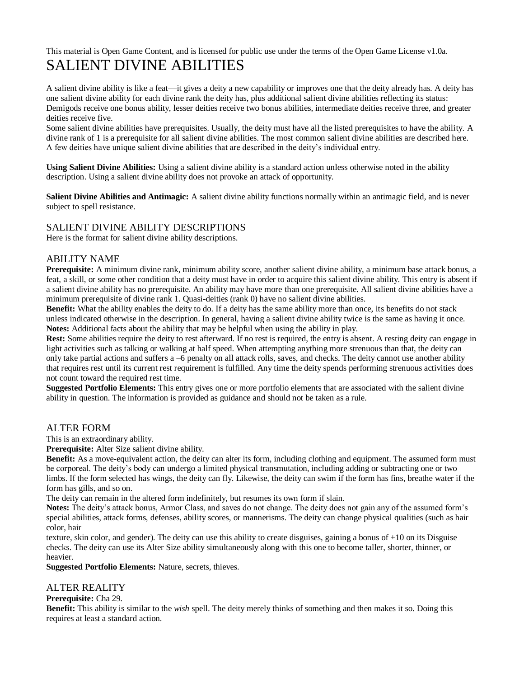# This material is Open Game Content, and is licensed for public use under the terms of the Open Game License v1.0a. SALIENT DIVINE ABILITIES

A salient divine ability is like a feat—it gives a deity a new capability or improves one that the deity already has. A deity has one salient divine ability for each divine rank the deity has, plus additional salient divine abilities reflecting its status: Demigods receive one bonus ability, lesser deities receive two bonus abilities, intermediate deities receive three, and greater deities receive five.

Some salient divine abilities have prerequisites. Usually, the deity must have all the listed prerequisites to have the ability. A divine rank of 1 is a prerequisite for all salient divine abilities. The most common salient divine abilities are described here. A few deities have unique salient divine abilities that are described in the deity's individual entry.

**Using Salient Divine Abilities:** Using a salient divine ability is a standard action unless otherwise noted in the ability description. Using a salient divine ability does not provoke an attack of opportunity.

**Salient Divine Abilities and Antimagic:** A salient divine ability functions normally within an antimagic field, and is never subject to spell resistance.

# SALIENT DIVINE ABILITY DESCRIPTIONS

Here is the format for salient divine ability descriptions.

## ABILITY NAME

**Prerequisite:** A minimum divine rank, minimum ability score, another salient divine ability, a minimum base attack bonus, a feat, a skill, or some other condition that a deity must have in order to acquire this salient divine ability. This entry is absent if a salient divine ability has no prerequisite. An ability may have more than one prerequisite. All salient divine abilities have a minimum prerequisite of divine rank 1. Quasi-deities (rank 0) have no salient divine abilities.

**Benefit:** What the ability enables the deity to do. If a deity has the same ability more than once, its benefits do not stack unless indicated otherwise in the description. In general, having a salient divine ability twice is the same as having it once. **Notes:** Additional facts about the ability that may be helpful when using the ability in play.

**Rest:** Some abilities require the deity to rest afterward. If no rest is required, the entry is absent. A resting deity can engage in light activities such as talking or walking at half speed. When attempting anything more strenuous than that, the deity can only take partial actions and suffers a –6 penalty on all attack rolls, saves, and checks. The deity cannot use another ability that requires rest until its current rest requirement is fulfilled. Any time the deity spends performing strenuous activities does not count toward the required rest time.

**Suggested Portfolio Elements:** This entry gives one or more portfolio elements that are associated with the salient divine ability in question. The information is provided as guidance and should not be taken as a rule.

#### ALTER FORM

This is an extraordinary ability.

**Prerequisite:** Alter Size salient divine ability.

**Benefit:** As a move-equivalent action, the deity can alter its form, including clothing and equipment. The assumed form must be corporeal. The deity's body can undergo a limited physical transmutation, including adding or subtracting one or two limbs. If the form selected has wings, the deity can fly. Likewise, the deity can swim if the form has fins, breathe water if the form has gills, and so on.

The deity can remain in the altered form indefinitely, but resumes its own form if slain.

**Notes:** The deity's attack bonus, Armor Class, and saves do not change. The deity does not gain any of the assumed form's special abilities, attack forms, defenses, ability scores, or mannerisms. The deity can change physical qualities (such as hair color, hair

texture, skin color, and gender). The deity can use this ability to create disguises, gaining a bonus of +10 on its Disguise checks. The deity can use its Alter Size ability simultaneously along with this one to become taller, shorter, thinner, or heavier.

**Suggested Portfolio Elements:** Nature, secrets, thieves.

## ALTER REALITY

#### **Prerequisite:** Cha 29.

**Benefit:** This ability is similar to the *wish* spell. The deity merely thinks of something and then makes it so. Doing this requires at least a standard action.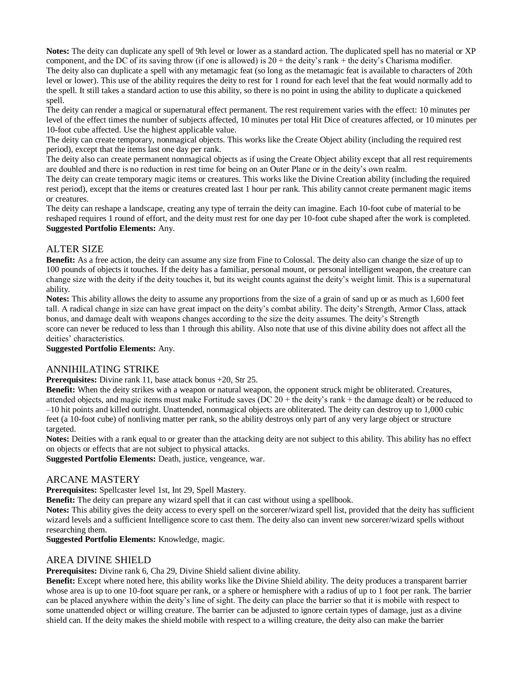**Notes:** The deity can duplicate any spell of 9th level or lower as a standard action. The duplicated spell has no material or XP component, and the DC of its saving throw (if one is allowed) is  $20 +$  the deity's rank + the deity's Charisma modifier. The deity also can duplicate a spell with any metamagic feat (so long as the metamagic feat is available to characters of 20th level or lower). This use of the ability requires the deity to rest for 1 round for each level that the feat would normally add to the spell. It still takes a standard action to use this ability, so there is no point in using the ability to duplicate a quickened spell.

The deity can render a magical or supernatural effect permanent. The rest requirement varies with the effect: 10 minutes per level of the effect times the number of subjects affected, 10 minutes per total Hit Dice of creatures affected, or 10 minutes per 10-foot cube affected. Use the highest applicable value.

The deity can create temporary, nonmagical objects. This works like the Create Object ability (including the required rest period), except that the items last one day per rank.

The deity also can create permanent nonmagical objects as if using the Create Object ability except that all rest requirements are doubled and there is no reduction in rest time for being on an Outer Plane or in the deity's own realm.

The deity can create temporary magic items or creatures. This works like the Divine Creation ability (including the required rest period), except that the items or creatures created last 1 hour per rank. This ability cannot create permanent magic items or creatures.

The deity can reshape a landscape, creating any type of terrain the deity can imagine. Each 10-foot cube of material to be reshaped requires 1 round of effort, and the deity must rest for one day per 10-foot cube shaped after the work is completed. **Suggested Portfolio Elements:** Any.

## ALTER SIZE

**Benefit:** As a free action, the deity can assume any size from Fine to Colossal. The deity also can change the size of up to 100 pounds of objects it touches. If the deity has a familiar, personal mount, or personal intelligent weapon, the creature can change size with the deity if the deity touches it, but its weight counts against the deity's weight limit. This is a supernatural ability.

**Notes:** This ability allows the deity to assume any proportions from the size of a grain of sand up or as much as 1,600 feet tall. A radical change in size can have great impact on the deity's combat ability. The deity's Strength, Armor Class, attack bonus, and damage dealt with weapons changes according to the size the deity assumes. The deity's Strength

score can never be reduced to less than 1 through this ability. Also note that use of this divine ability does not affect all the deities' characteristics.

**Suggested Portfolio Elements:** Any.

## ANNIHILATING STRIKE

**Prerequisites:** Divine rank 11, base attack bonus +20, Str 25.

**Benefit:** When the deity strikes with a weapon or natural weapon, the opponent struck might be obliterated. Creatures, attended objects, and magic items must make Fortitude saves (DC 20 + the deity's rank + the damage dealt) or be reduced to –10 hit points and killed outright. Unattended, nonmagical objects are obliterated. The deity can destroy up to 1,000 cubic feet (a 10-foot cube) of nonliving matter per rank, so the ability destroys only part of any very large object or structure targeted.

**Notes:** Deities with a rank equal to or greater than the attacking deity are not subject to this ability. This ability has no effect on objects or effects that are not subject to physical attacks.

**Suggested Portfolio Elements:** Death, justice, vengeance, war.

## ARCANE MASTERY

**Prerequisites:** Spellcaster level 1st, Int 29, Spell Mastery.

**Benefit:** The deity can prepare any wizard spell that it can cast without using a spellbook.

**Notes:** This ability gives the deity access to every spell on the sorcerer/wizard spell list, provided that the deity has sufficient wizard levels and a sufficient Intelligence score to cast them. The deity also can invent new sorcerer/wizard spells without researching them.

**Suggested Portfolio Elements:** Knowledge, magic.

## AREA DIVINE SHIELD

**Prerequisites:** Divine rank 6, Cha 29, Divine Shield salient divine ability.

**Benefit:** Except where noted here, this ability works like the Divine Shield ability. The deity produces a transparent barrier whose area is up to one 10-foot square per rank, or a sphere or hemisphere with a radius of up to 1 foot per rank. The barrier can be placed anywhere within the deity's line of sight. The deity can place the barrier so that it is mobile with respect to some unattended object or willing creature. The barrier can be adjusted to ignore certain types of damage, just as a divine shield can. If the deity makes the shield mobile with respect to a willing creature, the deity also can make the barrier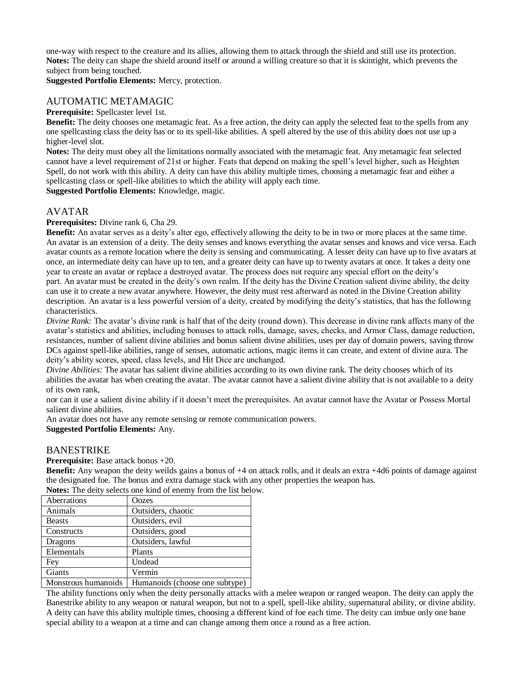one-way with respect to the creature and its allies, allowing them to attack through the shield and still use its protection. **Notes:** The deity can shape the shield around itself or around a willing creature so that it is skintight, which prevents the subject from being touched.

**Suggested Portfolio Elements:** Mercy, protection.

## AUTOMATIC METAMAGIC

#### **Prerequisite:** Spellcaster level 1st.

**Benefit:** The deity chooses one metamagic feat. As a free action, the deity can apply the selected feat to the spells from any one spellcasting class the deity has or to its spell-like abilities. A spell altered by the use of this ability does not use up a higher-level slot.

**Notes:** The deity must obey all the limitations normally associated with the metamagic feat. Any metamagic feat selected cannot have a level requirement of 21st or higher. Feats that depend on making the spell's level higher, such as Heighten Spell, do not work with this ability. A deity can have this ability multiple times, choosing a metamagic feat and either a spellcasting class or spell-like abilities to which the ability will apply each time.

**Suggested Portfolio Elements:** Knowledge, magic.

# AVATAR

**Prerequisites:** Divine rank 6, Cha 29.

**Benefit:** An avatar serves as a deity's alter ego, effectively allowing the deity to be in two or more places at the same time. An avatar is an extension of a deity. The deity senses and knows everything the avatar senses and knows and vice versa. Each avatar counts as a remote location where the deity is sensing and communicating. A lesser deity can have up to five avatars at once, an intermediate deity can have up to ten, and a greater deity can have up to twenty avatars at once. It takes a deity one year to create an avatar or replace a destroyed avatar. The process does not require any special effort on the deity's part. An avatar must be created in the deity's own realm. If the deity has the Divine Creation salient divine ability, the deity can use it to create a new avatar anywhere. However, the deity must rest afterward as noted in the Divine Creation ability description. An avatar is a less powerful version of a deity, created by modifying the deity's statistics, that has the following characteristics.

*Divine Rank:* The avatar's divine rank is half that of the deity (round down). This decrease in divine rank affects many of the avatar's statistics and abilities, including bonuses to attack rolls, damage, saves, checks, and Armor Class, damage reduction, resistances, number of salient divine abilities and bonus salient divine abilities, uses per day of domain powers, saving throw DCs against spell-like abilities, range of senses, automatic actions, magic items it can create, and extent of divine aura. The deity's ability scores, speed, class levels, and Hit Dice are unchanged.

*Divine Abilities:* The avatar has salient divine abilities according to its own divine rank. The deity chooses which of its abilities the avatar has when creating the avatar. The avatar cannot have a salient divine ability that is not available to a deity of its own rank,

nor can it use a salient divine ability if it doesn't meet the prerequisites. An avatar cannot have the Avatar or Possess Mortal salient divine abilities.

An avatar does not have any remote sensing or remote communication powers.

#### **Suggested Portfolio Elements:** Any.

#### BANESTRIKE

**Prerequisite:** Base attack bonus +20.

**Benefit:** Any weapon the deity weilds gains a bonus of +4 on attack rolls, and it deals an extra +4d6 points of damage against the designated foe. The bonus and extra damage stack with any other properties the weapon has. **Notes:** The deity selects one kind of enemy from the list below.

| <b>TWIES.</b> THE UCITY SCIECES OIL KING OF CHEITY TIGHT THE HST DER |                                |  |  |  |  |  |
|----------------------------------------------------------------------|--------------------------------|--|--|--|--|--|
| Aberrations                                                          | Oozes                          |  |  |  |  |  |
| Animals                                                              | Outsiders, chaotic             |  |  |  |  |  |
| <b>Beasts</b>                                                        | Outsiders, evil.               |  |  |  |  |  |
| Constructs                                                           | Outsiders, good                |  |  |  |  |  |
| Dragons                                                              | Outsiders, lawful              |  |  |  |  |  |
| Elementals                                                           | Plants                         |  |  |  |  |  |
| Fey                                                                  | Undead                         |  |  |  |  |  |
| Giants                                                               | Vermin                         |  |  |  |  |  |
| Monstrous humanoids                                                  | Humanoide (choose one subtype) |  |  |  |  |  |

Monstrous humanoids Humanoids (choose one subtype)

The ability functions only when the deity personally attacks with a melee weapon or ranged weapon. The deity can apply the Banestrike ability to any weapon or natural weapon, but not to a spell, spell-like ability, supernatural ability, or divine ability. A deity can have this ability multiple times, choosing a different kind of foe each time. The deity can imbue only one bane special ability to a weapon at a time and can change among them once a round as a free action.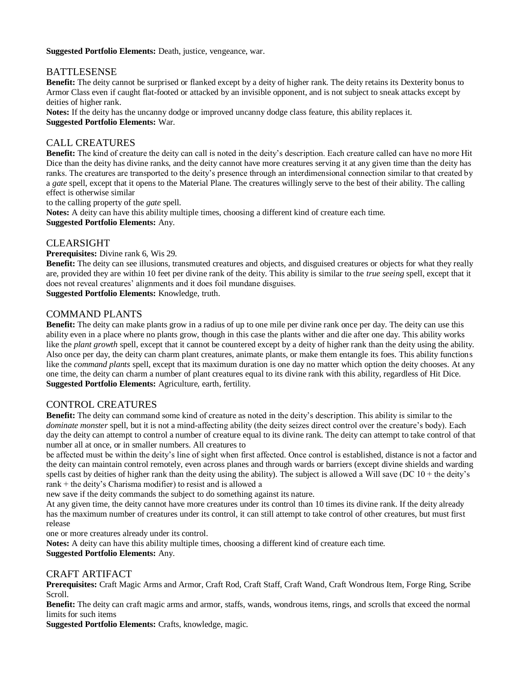**Suggested Portfolio Elements:** Death, justice, vengeance, war.

# BATTLESENSE

**Benefit:** The deity cannot be surprised or flanked except by a deity of higher rank. The deity retains its Dexterity bonus to Armor Class even if caught flat-footed or attacked by an invisible opponent, and is not subject to sneak attacks except by deities of higher rank.

**Notes:** If the deity has the uncanny dodge or improved uncanny dodge class feature, this ability replaces it. **Suggested Portfolio Elements:** War.

# CALL CREATURES

**Benefit:** The kind of creature the deity can call is noted in the deity's description. Each creature called can have no more Hit Dice than the deity has divine ranks, and the deity cannot have more creatures serving it at any given time than the deity has ranks. The creatures are transported to the deity's presence through an interdimensional connection similar to that created by a *gate* spell, except that it opens to the Material Plane. The creatures willingly serve to the best of their ability. The calling effect is otherwise similar

to the calling property of the *gate* spell.

**Notes:** A deity can have this ability multiple times, choosing a different kind of creature each time.

**Suggested Portfolio Elements:** Any.

# CLEARSIGHT

**Prerequisites:** Divine rank 6, Wis 29.

**Benefit:** The deity can see illusions, transmuted creatures and objects, and disguised creatures or objects for what they really are, provided they are within 10 feet per divine rank of the deity. This ability is similar to the *true seeing* spell, except that it does not reveal creatures' alignments and it does foil mundane disguises.

**Suggested Portfolio Elements:** Knowledge, truth.

# COMMAND PLANTS

**Benefit:** The deity can make plants grow in a radius of up to one mile per divine rank once per day. The deity can use this ability even in a place where no plants grow, though in this case the plants wither and die after one day. This ability works like the *plant growth* spell, except that it cannot be countered except by a deity of higher rank than the deity using the ability. Also once per day, the deity can charm plant creatures, animate plants, or make them entangle its foes. This ability functions like the *command plants* spell, except that its maximum duration is one day no matter which option the deity chooses. At any one time, the deity can charm a number of plant creatures equal to its divine rank with this ability, regardless of Hit Dice. **Suggested Portfolio Elements:** Agriculture, earth, fertility.

# CONTROL CREATURES

**Benefit:** The deity can command some kind of creature as noted in the deity's description. This ability is similar to the *dominate monster spell, but it is not a mind-affecting ability (the deity seizes direct control over the creature's body). Each* day the deity can attempt to control a number of creature equal to its divine rank. The deity can attempt to take control of that number all at once, or in smaller numbers. All creatures to

be affected must be within the deity's line of sight when first affected. Once control is established, distance is not a factor and the deity can maintain control remotely, even across planes and through wards or barriers (except divine shields and warding spells cast by deities of higher rank than the deity using the ability). The subject is allowed a Will save (DC  $10 +$  the deity's rank + the deity's Charisma modifier) to resist and is allowed a

new save if the deity commands the subject to do something against its nature.

At any given time, the deity cannot have more creatures under its control than 10 times its divine rank. If the deity already has the maximum number of creatures under its control, it can still attempt to take control of other creatures, but must first release

one or more creatures already under its control.

**Notes:** A deity can have this ability multiple times, choosing a different kind of creature each time. **Suggested Portfolio Elements:** Any.

# CRAFT ARTIFACT

**Prerequisites:** Craft Magic Arms and Armor, Craft Rod, Craft Staff, Craft Wand, Craft Wondrous Item, Forge Ring, Scribe Scroll.

**Benefit:** The deity can craft magic arms and armor, staffs, wands, wondrous items, rings, and scrolls that exceed the normal limits for such items

**Suggested Portfolio Elements:** Crafts, knowledge, magic.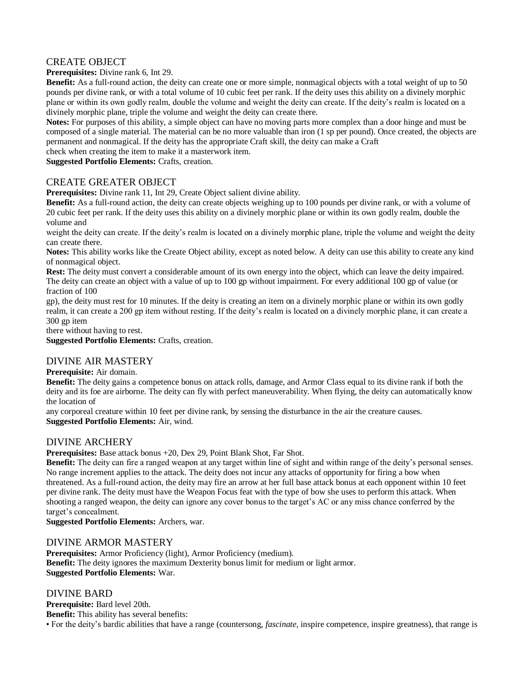# CREATE OBJECT

**Prerequisites:** Divine rank 6, Int 29.

**Benefit:** As a full-round action, the deity can create one or more simple, nonmagical objects with a total weight of up to 50 pounds per divine rank, or with a total volume of 10 cubic feet per rank. If the deity uses this ability on a divinely morphic plane or within its own godly realm, double the volume and weight the deity can create. If the deity's realm is located on a divinely morphic plane, triple the volume and weight the deity can create there.

**Notes:** For purposes of this ability, a simple object can have no moving parts more complex than a door hinge and must be composed of a single material. The material can be no more valuable than iron (1 sp per pound). Once created, the objects are permanent and nonmagical. If the deity has the appropriate Craft skill, the deity can make a Craft

check when creating the item to make it a masterwork item.

**Suggested Portfolio Elements:** Crafts, creation.

## CREATE GREATER OBJECT

**Prerequisites:** Divine rank 11, Int 29, Create Object salient divine ability.

**Benefit:** As a full-round action, the deity can create objects weighing up to 100 pounds per divine rank, or with a volume of 20 cubic feet per rank. If the deity uses this ability on a divinely morphic plane or within its own godly realm, double the volume and

weight the deity can create. If the deity's realm is located on a divinely morphic plane, triple the volume and weight the deity can create there.

**Notes:** This ability works like the Create Object ability, except as noted below. A deity can use this ability to create any kind of nonmagical object.

**Rest:** The deity must convert a considerable amount of its own energy into the object, which can leave the deity impaired. The deity can create an object with a value of up to 100 gp without impairment. For every additional 100 gp of value (or fraction of 100

gp), the deity must rest for 10 minutes. If the deity is creating an item on a divinely morphic plane or within its own godly realm, it can create a 200 gp item without resting. If the deity's realm is located on a divinely morphic plane, it can create a 300 gp item

there without having to rest.

**Suggested Portfolio Elements:** Crafts, creation.

# DIVINE AIR MASTERY

**Prerequisite:** Air domain.

**Benefit:** The deity gains a competence bonus on attack rolls, damage, and Armor Class equal to its divine rank if both the deity and its foe are airborne. The deity can fly with perfect maneuverability. When flying, the deity can automatically know the location of

any corporeal creature within 10 feet per divine rank, by sensing the disturbance in the air the creature causes. **Suggested Portfolio Elements:** Air, wind.

## DIVINE ARCHERY

**Prerequisites:** Base attack bonus +20, Dex 29, Point Blank Shot, Far Shot.

**Benefit:** The deity can fire a ranged weapon at any target within line of sight and within range of the deity's personal senses. No range increment applies to the attack. The deity does not incur any attacks of opportunity for firing a bow when threatened. As a full-round action, the deity may fire an arrow at her full base attack bonus at each opponent within 10 feet per divine rank. The deity must have the Weapon Focus feat with the type of bow she uses to perform this attack. When shooting a ranged weapon, the deity can ignore any cover bonus to the target's AC or any miss chance conferred by the target's concealment.

**Suggested Portfolio Elements:** Archers, war.

## DIVINE ARMOR MASTERY

**Prerequisites:** Armor Proficiency (light), Armor Proficiency (medium). **Benefit:** The deity ignores the maximum Dexterity bonus limit for medium or light armor. **Suggested Portfolio Elements:** War.

## DIVINE BARD

**Prerequisite:** Bard level 20th. **Benefit:** This ability has several benefits:

• For the deity's bardic abilities that have a range (countersong, *fascinate,* inspire competence, inspire greatness), that range is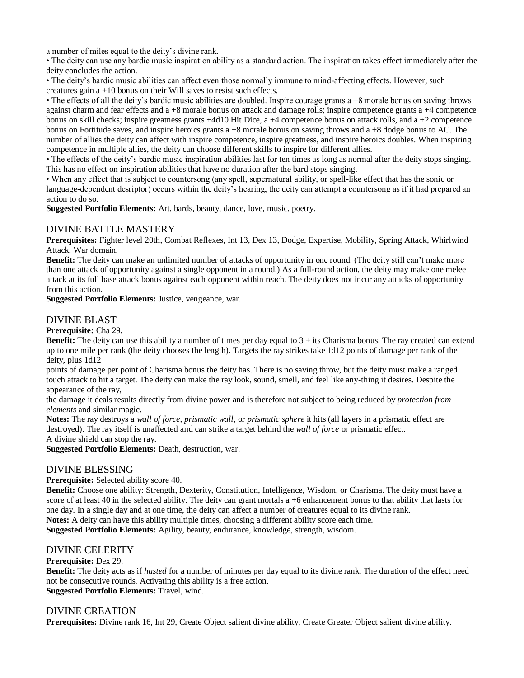a number of miles equal to the deity's divine rank.

• The deity can use any bardic music inspiration ability as a standard action. The inspiration takes effect immediately after the deity concludes the action.

• The deity's bardic music abilities can affect even those normally immune to mind-affecting effects. However, such creatures gain a +10 bonus on their Will saves to resist such effects.

• The effects of all the deity's bardic music abilities are doubled. Inspire courage grants a +8 morale bonus on saving throws against charm and fear effects and a +8 morale bonus on attack and damage rolls; inspire competence grants a +4 competence bonus on skill checks; inspire greatness grants +4d10 Hit Dice, a +4 competence bonus on attack rolls, and a +2 competence bonus on Fortitude saves, and inspire heroics grants a +8 morale bonus on saving throws and a +8 dodge bonus to AC. The number of allies the deity can affect with inspire competence, inspire greatness, and inspire heroics doubles. When inspiring competence in multiple allies, the deity can choose different skills to inspire for different allies.

• The effects of the deity's bardic music inspiration abilities last for ten times as long as normal after the deity stops singing. This has no effect on inspiration abilities that have no duration after the bard stops singing.

• When any effect that is subject to countersong (any spell, supernatural ability, or spell-like effect that has the sonic or language-dependent desriptor) occurs within the deity's hearing, the deity can attempt a countersong as if it had prepared an action to do so.

**Suggested Portfolio Elements:** Art, bards, beauty, dance, love, music, poetry.

#### DIVINE BATTLE MASTERY

**Prerequisites:** Fighter level 20th, Combat Reflexes, Int 13, Dex 13, Dodge, Expertise, Mobility, Spring Attack, Whirlwind Attack, War domain.

**Benefit:** The deity can make an unlimited number of attacks of opportunity in one round. (The deity still can't make more than one attack of opportunity against a single opponent in a round.) As a full-round action, the deity may make one melee attack at its full base attack bonus against each opponent within reach. The deity does not incur any attacks of opportunity from this action.

**Suggested Portfolio Elements:** Justice, vengeance, war.

## DIVINE BLAST

**Prerequisite:** Cha 29.

**Benefit:** The deity can use this ability a number of times per day equal to  $3 +$  its Charisma bonus. The ray created can extend up to one mile per rank (the deity chooses the length). Targets the ray strikes take 1d12 points of damage per rank of the deity, plus 1d12

points of damage per point of Charisma bonus the deity has. There is no saving throw, but the deity must make a ranged touch attack to hit a target. The deity can make the ray look, sound, smell, and feel like any-thing it desires. Despite the appearance of the ray,

the damage it deals results directly from divine power and is therefore not subject to being reduced by *protection from elements* and similar magic.

**Notes:** The ray destroys a *wall of force, prismatic wall,* or *prismatic sphere* it hits (all layers in a prismatic effect are destroyed). The ray itself is unaffected and can strike a target behind the *wall of force* or prismatic effect. A divine shield can stop the ray.

**Suggested Portfolio Elements:** Death, destruction, war.

## DIVINE BLESSING

**Prerequisite:** Selected ability score 40.

**Benefit:** Choose one ability: Strength, Dexterity, Constitution, Intelligence, Wisdom, or Charisma. The deity must have a score of at least 40 in the selected ability. The deity can grant mortals a +6 enhancement bonus to that ability that lasts for one day. In a single day and at one time, the deity can affect a number of creatures equal to its divine rank. **Notes:** A deity can have this ability multiple times, choosing a different ability score each time.

**Suggested Portfolio Elements:** Agility, beauty, endurance, knowledge, strength, wisdom.

## DIVINE CELERITY

#### **Prerequisite:** Dex 29.

**Benefit:** The deity acts as if *hasted* for a number of minutes per day equal to its divine rank. The duration of the effect need not be consecutive rounds. Activating this ability is a free action. **Suggested Portfolio Elements:** Travel, wind.

#### DIVINE CREATION

**Prerequisites:** Divine rank 16, Int 29, Create Object salient divine ability, Create Greater Object salient divine ability.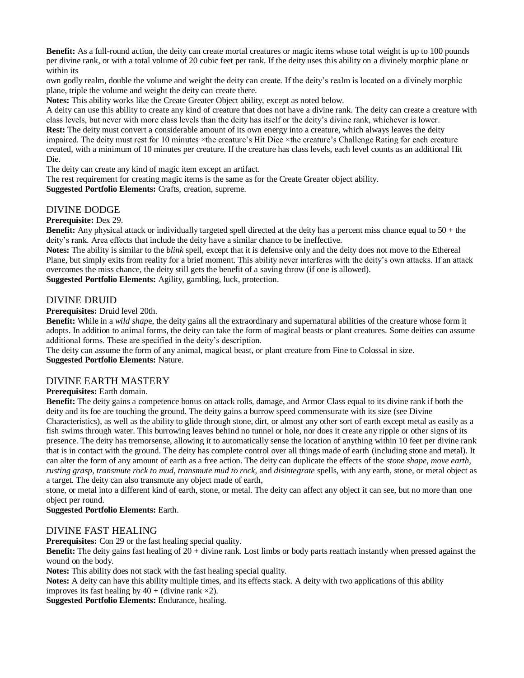**Benefit:** As a full-round action, the deity can create mortal creatures or magic items whose total weight is up to 100 pounds per divine rank, or with a total volume of 20 cubic feet per rank. If the deity uses this ability on a divinely morphic plane or within its

own godly realm, double the volume and weight the deity can create. If the deity's realm is located on a divinely morphic plane, triple the volume and weight the deity can create there.

**Notes:** This ability works like the Create Greater Object ability, except as noted below.

A deity can use this ability to create any kind of creature that does not have a divine rank. The deity can create a creature with class levels, but never with more class levels than the deity has itself or the deity's divine rank, whichever is lower. Rest: The deity must convert a considerable amount of its own energy into a creature, which always leaves the deity impaired. The deity must rest for 10 minutes ×the creature's Hit Dice ×the creature's Challenge Rating for each creature created, with a minimum of 10 minutes per creature. If the creature has class levels, each level counts as an additional Hit

Die.

The deity can create any kind of magic item except an artifact.

The rest requirement for creating magic items is the same as for the Create Greater object ability.

**Suggested Portfolio Elements:** Crafts, creation, supreme.

## DIVINE DODGE

#### **Prerequisite:** Dex 29.

**Benefit:** Any physical attack or individually targeted spell directed at the deity has a percent miss chance equal to 50 + the deity's rank. Area effects that include the deity have a similar chance to be ineffective.

**Notes:** The ability is similar to the *blink* spell, except that it is defensive only and the deity does not move to the Ethereal Plane, but simply exits from reality for a brief moment. This ability never interferes with the deity's own attacks. If an attack overcomes the miss chance, the deity still gets the benefit of a saving throw (if one is allowed).

**Suggested Portfolio Elements:** Agility, gambling, luck, protection.

#### DIVINE DRUID

**Prerequisites:** Druid level 20th.

**Benefit:** While in a *wild shap*e, the deity gains all the extraordinary and supernatural abilities of the creature whose form it adopts. In addition to animal forms, the deity can take the form of magical beasts or plant creatures. Some deities can assume additional forms. These are specified in the deity's description.

The deity can assume the form of any animal, magical beast, or plant creature from Fine to Colossal in size.

**Suggested Portfolio Elements:** Nature.

## DIVINE EARTH MASTERY

#### **Prerequisites:** Earth domain.

**Benefit:** The deity gains a competence bonus on attack rolls, damage, and Armor Class equal to its divine rank if both the deity and its foe are touching the ground. The deity gains a burrow speed commensurate with its size (see Divine Characteristics), as well as the ability to glide through stone, dirt, or almost any other sort of earth except metal as easily as a fish swims through water. This burrowing leaves behind no tunnel or hole, nor does it create any ripple or other signs of its presence. The deity has tremorsense, allowing it to automatically sense the location of anything within 10 feet per divine rank that is in contact with the ground. The deity has complete control over all things made of earth (including stone and metal). It can alter the form of any amount of earth as a free action. The deity can duplicate the effects of the *stone shape, move earth, rusting grasp, transmute rock to mud, transmute mud to rock,* and *disintegrate* spells, with any earth, stone, or metal object as a target. The deity can also transmute any object made of earth,

stone, or metal into a different kind of earth, stone, or metal. The deity can affect any object it can see, but no more than one object per round.

**Suggested Portfolio Elements:** Earth.

## DIVINE FAST HEALING

**Prerequisites:** Con 29 or the fast healing special quality.

**Benefit:** The deity gains fast healing of 20 + divine rank. Lost limbs or body parts reattach instantly when pressed against the wound on the body.

**Notes:** This ability does not stack with the fast healing special quality.

**Notes:** A deity can have this ability multiple times, and its effects stack. A deity with two applications of this ability improves its fast healing by  $40 +$  (divine rank  $\times 2$ ).

**Suggested Portfolio Elements:** Endurance, healing.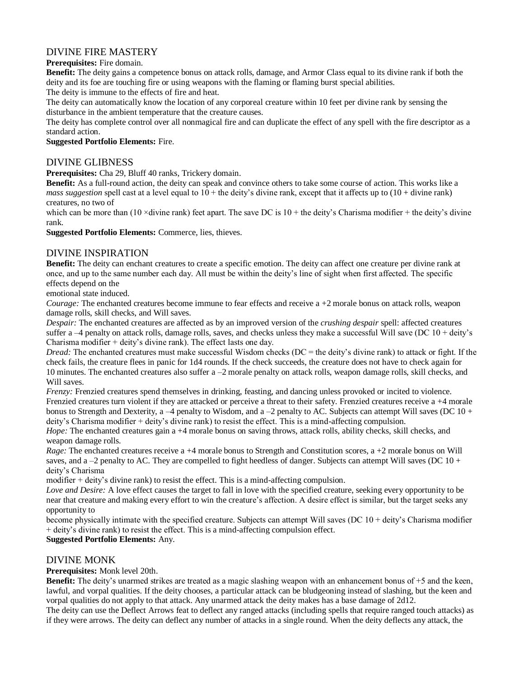# DIVINE FIRE MASTERY

**Prerequisites:** Fire domain.

**Benefit:** The deity gains a competence bonus on attack rolls, damage, and Armor Class equal to its divine rank if both the deity and its foe are touching fire or using weapons with the flaming or flaming burst special abilities.

The deity is immune to the effects of fire and heat.

The deity can automatically know the location of any corporeal creature within 10 feet per divine rank by sensing the disturbance in the ambient temperature that the creature causes.

The deity has complete control over all nonmagical fire and can duplicate the effect of any spell with the fire descriptor as a standard action.

**Suggested Portfolio Elements:** Fire.

# DIVINE GLIBNESS

**Prerequisites:** Cha 29, Bluff 40 ranks, Trickery domain.

**Benefit:** As a full-round action, the deity can speak and convince others to take some course of action. This works like a *mass suggestion* spell cast at a level equal to  $10 +$  the deity's divine rank, except that it affects up to  $(10 +$  divine rank) creatures, no two of

which can be more than  $(10 \times \text{divine rank})$  feet apart. The save DC is  $10 +$  the deity's Charisma modifier + the deity's divine rank.

**Suggested Portfolio Elements:** Commerce, lies, thieves.

# DIVINE INSPIRATION

**Benefit:** The deity can enchant creatures to create a specific emotion. The deity can affect one creature per divine rank at once, and up to the same number each day. All must be within the deity's line of sight when first affected. The specific effects depend on the

emotional state induced.

*Courage:* The enchanted creatures become immune to fear effects and receive a +2 morale bonus on attack rolls, weapon damage rolls, skill checks, and Will saves.

*Despair:* The enchanted creatures are affected as by an improved version of the *crushing despair* spell: affected creatures suffer a  $-4$  penalty on attack rolls, damage rolls, saves, and checks unless they make a successful Will save (DC  $10 +$  deity's Charisma modifier + deity's divine rank). The effect lasts one day.

*Dread:* The enchanted creatures must make successful Wisdom checks (DC = the deity's divine rank) to attack or fight. If the check fails, the creature flees in panic for 1d4 rounds. If the check succeeds, the creature does not have to check again for 10 minutes. The enchanted creatures also suffer a –2 morale penalty on attack rolls, weapon damage rolls, skill checks, and Will saves.

*Frenzy:* Frenzied creatures spend themselves in drinking, feasting, and dancing unless provoked or incited to violence. Frenzied creatures turn violent if they are attacked or perceive a threat to their safety. Frenzied creatures receive a +4 morale bonus to Strength and Dexterity,  $a - 4$  penalty to Wisdom, and  $a - 2$  penalty to AC. Subjects can attempt Will saves (DC 10 + deity's Charisma modifier + deity's divine rank) to resist the effect. This is a mind-affecting compulsion.

*Hope:* The enchanted creatures gain a +4 morale bonus on saving throws, attack rolls, ability checks, skill checks, and weapon damage rolls.

*Rage:* The enchanted creatures receive a +4 morale bonus to Strength and Constitution scores, a +2 morale bonus on Will saves, and a  $-2$  penalty to AC. They are compelled to fight heedless of danger. Subjects can attempt Will saves (DC 10 + deity's Charisma

modifier + deity's divine rank) to resist the effect. This is a mind-affecting compulsion.

*Love and Desire:* A love effect causes the target to fall in love with the specified creature, seeking every opportunity to be near that creature and making every effort to win the creature's affection. A desire effect is similar, but the target seeks any opportunity to

become physically intimate with the specified creature. Subjects can attempt Will saves (DC 10 + deity's Charisma modifier + deity's divine rank) to resist the effect. This is a mind-affecting compulsion effect.

# **Suggested Portfolio Elements:** Any.

# DIVINE MONK

**Prerequisites:** Monk level 20th.

**Benefit:** The deity's unarmed strikes are treated as a magic slashing weapon with an enhancement bonus of  $+5$  and the keen, lawful, and vorpal qualities. If the deity chooses, a particular attack can be bludgeoning instead of slashing, but the keen and vorpal qualities do not apply to that attack. Any unarmed attack the deity makes has a base damage of 2d12.

The deity can use the Deflect Arrows feat to deflect any ranged attacks (including spells that require ranged touch attacks) as if they were arrows. The deity can deflect any number of attacks in a single round. When the deity deflects any attack, the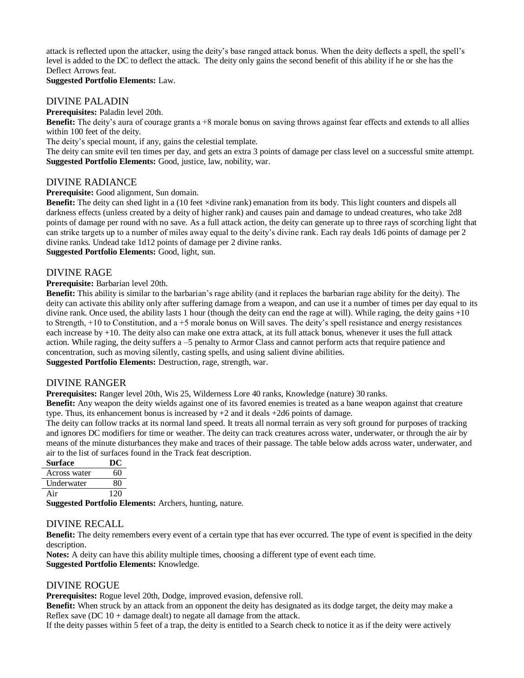attack is reflected upon the attacker, using the deity's base ranged attack bonus. When the deity deflects a spell, the spell's level is added to the DC to deflect the attack. The deity only gains the second benefit of this ability if he or she has the Deflect Arrows feat.

#### **Suggested Portfolio Elements:** Law.

#### DIVINE PALADIN

**Prerequisites:** Paladin level 20th.

**Benefit:** The deity's aura of courage grants a +8 morale bonus on saving throws against fear effects and extends to all allies within 100 feet of the deity.

The deity's special mount, if any, gains the celestial template.

The deity can smite evil ten times per day, and gets an extra 3 points of damage per class level on a successful smite attempt. **Suggested Portfolio Elements:** Good, justice, law, nobility, war.

#### DIVINE RADIANCE

**Prerequisite:** Good alignment, Sun domain.

**Benefit:** The deity can shed light in a (10 feet ×divine rank) emanation from its body. This light counters and dispels all darkness effects (unless created by a deity of higher rank) and causes pain and damage to undead creatures, who take 2d8 points of damage per round with no save. As a full attack action, the deity can generate up to three rays of scorching light that can strike targets up to a number of miles away equal to the deity's divine rank. Each ray deals 1d6 points of damage per 2 divine ranks. Undead take 1d12 points of damage per 2 divine ranks.

**Suggested Portfolio Elements:** Good, light, sun.

#### DIVINE RAGE

**Prerequisite:** Barbarian level 20th.

**Benefit:** This ability is similar to the barbarian's rage ability (and it replaces the barbarian rage ability for the deity). The deity can activate this ability only after suffering damage from a weapon, and can use it a number of times per day equal to its divine rank. Once used, the ability lasts 1 hour (though the deity can end the rage at will). While raging, the deity gains +10 to Strength, +10 to Constitution, and a +5 morale bonus on Will saves. The deity's spell resistance and energy resistances each increase by +10. The deity also can make one extra attack, at its full attack bonus, whenever it uses the full attack action. While raging, the deity suffers a –5 penalty to Armor Class and cannot perform acts that require patience and concentration, such as moving silently, casting spells, and using salient divine abilities.

**Suggested Portfolio Elements:** Destruction, rage, strength, war.

## DIVINE RANGER

**Prerequisites:** Ranger level 20th, Wis 25, Wilderness Lore 40 ranks, Knowledge (nature) 30 ranks.

**Benefit:** Any weapon the deity wields against one of its favored enemies is treated as a bane weapon against that creature type. Thus, its enhancement bonus is increased by  $+2$  and it deals  $+2d6$  points of damage.

The deity can follow tracks at its normal land speed. It treats all normal terrain as very soft ground for purposes of tracking and ignores DC modifiers for time or weather. The deity can track creatures across water, underwater, or through the air by means of the minute disturbances they make and traces of their passage. The table below adds across water, underwater, and air to the list of surfaces found in the Track feat description.

| Surface      | ĐC  |
|--------------|-----|
| Across water | 60  |
| Underwater   | 80  |
| Air          | 120 |

**Suggested Portfolio Elements:** Archers, hunting, nature.

## DIVINE RECALL

**Benefit:** The deity remembers every event of a certain type that has ever occurred. The type of event is specified in the deity description.

**Notes:** A deity can have this ability multiple times, choosing a different type of event each time. **Suggested Portfolio Elements:** Knowledge.

#### DIVINE ROGUE

**Prerequisites:** Rogue level 20th, Dodge, improved evasion, defensive roll.

**Benefit:** When struck by an attack from an opponent the deity has designated as its dodge target, the deity may make a Reflex save (DC  $10 +$  damage dealt) to negate all damage from the attack.

If the deity passes within 5 feet of a trap, the deity is entitled to a Search check to notice it as if the deity were actively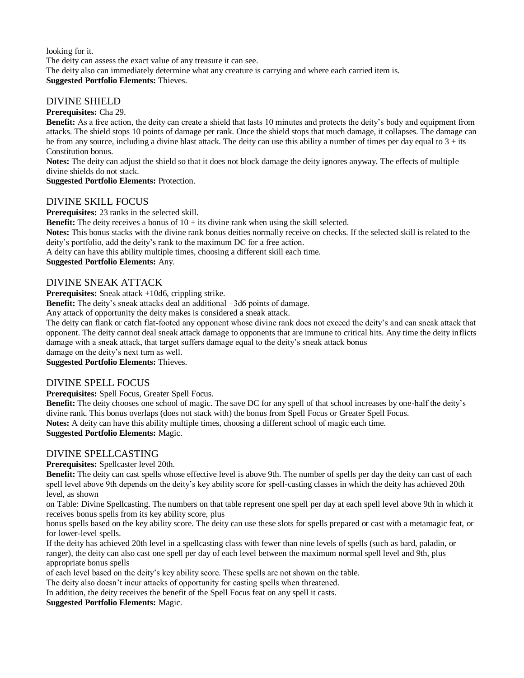looking for it. The deity can assess the exact value of any treasure it can see. The deity also can immediately determine what any creature is carrying and where each carried item is. **Suggested Portfolio Elements:** Thieves.

# DIVINE SHIELD

**Prerequisites:** Cha 29.

**Benefit:** As a free action, the deity can create a shield that lasts 10 minutes and protects the deity's body and equipment from attacks. The shield stops 10 points of damage per rank. Once the shield stops that much damage, it collapses. The damage can be from any source, including a divine blast attack. The deity can use this ability a number of times per day equal to  $3 +$  its Constitution bonus.

**Notes:** The deity can adjust the shield so that it does not block damage the deity ignores anyway. The effects of multiple divine shields do not stack.

**Suggested Portfolio Elements:** Protection.

## DIVINE SKILL FOCUS

**Prerequisites:** 23 ranks in the selected skill.

**Benefit:** The deity receives a bonus of  $10 +$  its divine rank when using the skill selected.

**Notes:** This bonus stacks with the divine rank bonus deities normally receive on checks. If the selected skill is related to the deity's portfolio, add the deity's rank to the maximum DC for a free action.

A deity can have this ability multiple times, choosing a different skill each time.

**Suggested Portfolio Elements:** Any.

## DIVINE SNEAK ATTACK

**Prerequisites:** Sneak attack +10d6, crippling strike.

**Benefit:** The deity's sneak attacks deal an additional  $+3d6$  points of damage.

Any attack of opportunity the deity makes is considered a sneak attack.

The deity can flank or catch flat-footed any opponent whose divine rank does not exceed the deity's and can sneak attack that opponent. The deity cannot deal sneak attack damage to opponents that are immune to critical hits. Any time the deity inflicts damage with a sneak attack, that target suffers damage equal to the deity's sneak attack bonus

damage on the deity's next turn as well.

**Suggested Portfolio Elements:** Thieves.

## DIVINE SPELL FOCUS

**Prerequisites:** Spell Focus, Greater Spell Focus.

**Benefit:** The deity chooses one school of magic. The save DC for any spell of that school increases by one-half the deity's divine rank. This bonus overlaps (does not stack with) the bonus from Spell Focus or Greater Spell Focus. **Notes:** A deity can have this ability multiple times, choosing a different school of magic each time.

# **Suggested Portfolio Elements:** Magic.

## DIVINE SPELLCASTING

**Prerequisites:** Spellcaster level 20th.

**Benefit:** The deity can cast spells whose effective level is above 9th. The number of spells per day the deity can cast of each spell level above 9th depends on the deity's key ability score for spell-casting classes in which the deity has achieved 20th level, as shown

on Table: Divine Spellcasting. The numbers on that table represent one spell per day at each spell level above 9th in which it receives bonus spells from its key ability score, plus

bonus spells based on the key ability score. The deity can use these slots for spells prepared or cast with a metamagic feat, or for lower-level spells.

If the deity has achieved 20th level in a spellcasting class with fewer than nine levels of spells (such as bard, paladin, or ranger), the deity can also cast one spell per day of each level between the maximum normal spell level and 9th, plus appropriate bonus spells

of each level based on the deity's key ability score. These spells are not shown on the table.

The deity also doesn't incur attacks of opportunity for casting spells when threatened.

In addition, the deity receives the benefit of the Spell Focus feat on any spell it casts.

**Suggested Portfolio Elements:** Magic.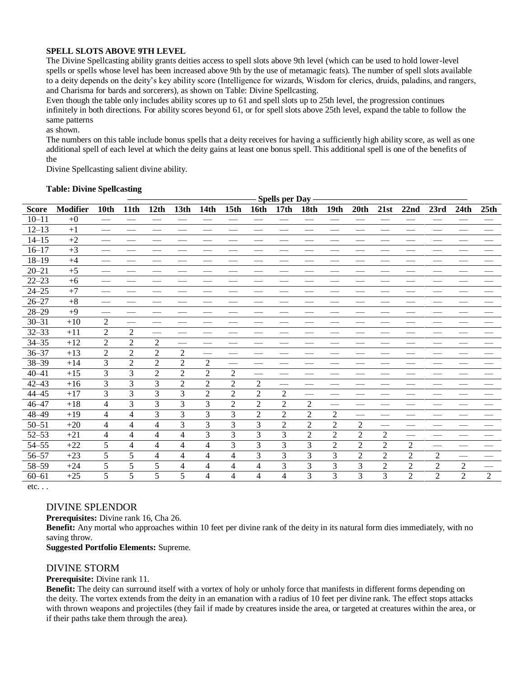#### **SPELL SLOTS ABOVE 9TH LEVEL**

The Divine Spellcasting ability grants deities access to spell slots above 9th level (which can be used to hold lower-level spells or spells whose level has been increased above 9th by the use of metamagic feats). The number of spell slots available to a deity depends on the deity's key ability score (Intelligence for wizards, Wisdom for clerics, druids, paladins, and rangers, and Charisma for bards and sorcerers), as shown on Table: Divine Spellcasting.

Even though the table only includes ability scores up to 61 and spell slots up to 25th level, the progression continues infinitely in both directions. For ability scores beyond 61, or for spell slots above 25th level, expand the table to follow the same patterns

as shown.

The numbers on this table include bonus spells that a deity receives for having a sufficiently high ability score, as well as one additional spell of each level at which the deity gains at least one bonus spell. This additional spell is one of the benefits of the

Divine Spellcasting salient divine ability.

|              |                 |                | <b>Spells per Day</b> |                |                  |                |                  |                |                  |                |                |                |                |                |                |                |                |
|--------------|-----------------|----------------|-----------------------|----------------|------------------|----------------|------------------|----------------|------------------|----------------|----------------|----------------|----------------|----------------|----------------|----------------|----------------|
| <b>Score</b> | <b>Modifier</b> | 10th           | 11th                  | 12th           | 13 <sub>th</sub> | <b>14th</b>    | 15 <sub>th</sub> | 16th           | 17 <sub>th</sub> | <b>18th</b>    | <b>19th</b>    | 20th           | 21st           | 22nd           | 23rd           | 24th           | 25th           |
| $10 - 11$    | $+0$            |                |                       |                |                  |                |                  |                |                  |                |                |                |                |                |                |                |                |
| $12 - 13$    | $+1$            |                |                       |                |                  |                |                  |                |                  |                |                |                |                |                |                |                |                |
| $14 - 15$    | $+2$            |                |                       |                |                  |                |                  |                |                  |                |                |                |                |                |                |                |                |
| $16 - 17$    | $+3$            |                |                       |                |                  |                |                  |                |                  |                |                |                |                |                |                |                |                |
| $18 - 19$    | $+4$            |                |                       |                |                  |                |                  |                |                  |                |                |                |                |                |                |                |                |
| $20 - 21$    | $+5$            |                |                       |                |                  |                |                  |                |                  |                |                |                |                |                |                |                |                |
| $22 - 23$    | $+6$            |                |                       |                |                  |                |                  |                |                  |                |                |                |                |                |                |                |                |
| $24 - 25$    | $+7$            |                |                       |                |                  |                |                  |                |                  |                |                |                |                |                |                |                |                |
| $26 - 27$    | $+8$            |                |                       |                |                  |                |                  |                |                  |                |                |                |                |                |                |                |                |
| $28 - 29$    | $+9$            |                |                       |                |                  |                |                  |                |                  |                |                |                |                |                |                |                |                |
| $30 - 31$    | $+10$           | $\overline{2}$ |                       |                |                  |                |                  |                |                  |                |                |                |                |                |                |                |                |
| $32 - 33$    | $+11$           | $\overline{2}$ | $\overline{2}$        |                |                  |                |                  |                |                  |                |                |                |                |                |                |                |                |
| $34 - 35$    | $+12$           | $\overline{2}$ | $\overline{2}$        | $\overline{2}$ |                  |                |                  |                |                  |                |                |                |                |                |                |                |                |
| $36 - 37$    | $+13$           | $\overline{2}$ | $\overline{2}$        | $\overline{c}$ | $\overline{2}$   |                |                  |                |                  |                |                |                |                |                |                |                |                |
| $38 - 39$    | $+14$           | $\overline{3}$ | $\overline{2}$        | $\overline{c}$ | $\overline{2}$   | $\overline{2}$ |                  |                |                  |                |                |                |                |                |                |                |                |
| $40 - 41$    | $+15$           | $\overline{3}$ | $\overline{3}$        | $\overline{2}$ | $\overline{2}$   | $\overline{2}$ | $\overline{2}$   |                |                  |                |                |                |                |                |                |                |                |
| $42 - 43$    | $+16$           | 3              | 3                     | 3              | $\overline{c}$   | $\overline{c}$ | $\overline{c}$   | 2              |                  |                |                |                |                |                |                |                |                |
| $44 - 45$    | $+17$           | $\overline{3}$ | $\overline{3}$        | $\overline{3}$ | $\overline{3}$   | $\overline{2}$ | $\overline{2}$   | $\overline{2}$ | $\overline{2}$   |                |                |                |                |                |                |                |                |
| $46 - 47$    | $+18$           | $\overline{4}$ | $\overline{3}$        | $\overline{3}$ | 3                | 3              | $\overline{2}$   | $\overline{2}$ | $\overline{2}$   | 2              |                |                |                |                |                |                |                |
| $48 - 49$    | $+19$           | $\overline{4}$ | $\overline{4}$        | 3              | 3                | 3              | 3                | $\overline{2}$ | $\overline{2}$   | $\overline{c}$ | $\overline{c}$ |                |                |                |                |                |                |
| $50 - 51$    | $+20$           | $\overline{4}$ | $\overline{4}$        | 4              | 3                | 3              | 3                | 3              | $\overline{2}$   | $\overline{2}$ | $\overline{2}$ | $\overline{2}$ |                |                |                |                |                |
| $52 - 53$    | $+21$           | $\overline{4}$ | $\overline{4}$        | 4              | 4                | 3              | 3                | 3              | 3                | $\overline{2}$ | $\overline{2}$ | $\overline{2}$ | $\overline{2}$ |                |                |                |                |
| $54 - 55$    | $+22$           | 5              | $\overline{4}$        | 4              | 4                | 4              | 3                | 3              | 3                | 3              | $\overline{2}$ | $\overline{2}$ | $\overline{2}$ | $\overline{2}$ |                |                |                |
| $56 - 57$    | $+23$           | 5              | 5                     | 4              | 4                | 4              | 4                | 3              | 3                | 3              | 3              | $\overline{2}$ | $\overline{2}$ | $\overline{2}$ | $\overline{2}$ |                |                |
| 58-59        | $+24$           | 5              | 5                     | 5              | 4                | 4              | 4                | 4              | 3                | 3              | 3              | 3              | $\overline{2}$ | $\overline{2}$ | $\overline{2}$ | $\overline{2}$ |                |
| $60 - 61$    | $+25$           | 5              | 5                     | 5              | 5                | 4              | 4                | 4              | 4                | 3              | 3              | 3              | 3              | $\overline{2}$ | $\overline{2}$ | $\overline{2}$ | $\overline{2}$ |

**Table: Divine Spellcasting**

etc. . .

#### DIVINE SPLENDOR

**Prerequisites:** Divine rank 16, Cha 26.

**Benefit:** Any mortal who approaches within 10 feet per divine rank of the deity in its natural form dies immediately, with no saving throw.

**Suggested Portfolio Elements:** Supreme.

#### DIVINE STORM

#### **Prerequisite:** Divine rank 11.

**Benefit:** The deity can surround itself with a vortex of holy or unholy force that manifests in different forms depending on the deity. The vortex extends from the deity in an emanation with a radius of 10 feet per divine rank. The effect stops attacks with thrown weapons and projectiles (they fail if made by creatures inside the area, or targeted at creatures within the area, or if their paths take them through the area).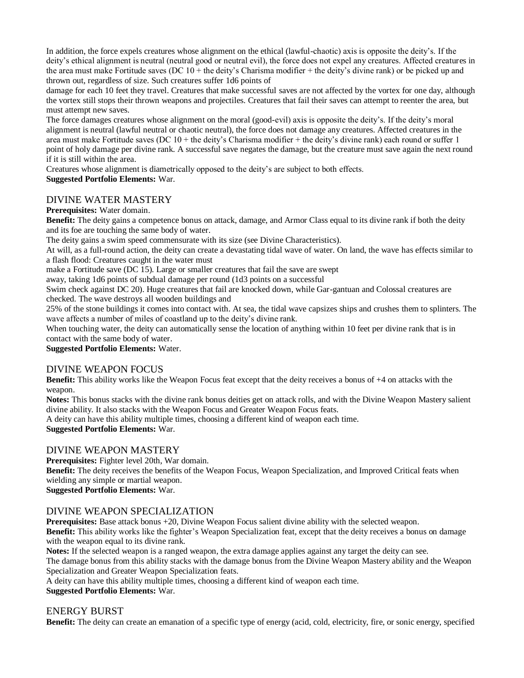In addition, the force expels creatures whose alignment on the ethical (lawful-chaotic) axis is opposite the deity's. If the deity's ethical alignment is neutral (neutral good or neutral evil), the force does not expel any creatures. Affected creatures in the area must make Fortitude saves (DC  $10 +$  the deity's Charisma modifier  $+$  the deity's divine rank) or be picked up and thrown out, regardless of size. Such creatures suffer 1d6 points of

damage for each 10 feet they travel. Creatures that make successful saves are not affected by the vortex for one day, although the vortex still stops their thrown weapons and projectiles. Creatures that fail their saves can attempt to reenter the area, but must attempt new saves.

The force damages creatures whose alignment on the moral (good-evil) axis is opposite the deity's. If the deity's moral alignment is neutral (lawful neutral or chaotic neutral), the force does not damage any creatures. Affected creatures in the area must make Fortitude saves (DC  $10 +$  the deity's Charisma modifier  $+$  the deity's divine rank) each round or suffer 1 point of holy damage per divine rank. A successful save negates the damage, but the creature must save again the next round if it is still within the area.

Creatures whose alignment is diametrically opposed to the deity's are subject to both effects.

## **Suggested Portfolio Elements:** War.

# DIVINE WATER MASTERY

**Prerequisites:** Water domain.

**Benefit:** The deity gains a competence bonus on attack, damage, and Armor Class equal to its divine rank if both the deity and its foe are touching the same body of water.

The deity gains a swim speed commensurate with its size (see Divine Characteristics).

At will, as a full-round action, the deity can create a devastating tidal wave of water. On land, the wave has effects similar to a flash flood: Creatures caught in the water must

make a Fortitude save (DC 15). Large or smaller creatures that fail the save are swept

away, taking 1d6 points of subdual damage per round (1d3 points on a successful

Swim check against DC 20). Huge creatures that fail are knocked down, while Gar-gantuan and Colossal creatures are checked. The wave destroys all wooden buildings and

25% of the stone buildings it comes into contact with. At sea, the tidal wave capsizes ships and crushes them to splinters. The wave affects a number of miles of coastland up to the deity's divine rank.

When touching water, the deity can automatically sense the location of anything within 10 feet per divine rank that is in contact with the same body of water.

**Suggested Portfolio Elements:** Water.

## DIVINE WEAPON FOCUS

**Benefit:** This ability works like the Weapon Focus feat except that the deity receives a bonus of +4 on attacks with the weapon.

**Notes:** This bonus stacks with the divine rank bonus deities get on attack rolls, and with the Divine Weapon Mastery salient divine ability. It also stacks with the Weapon Focus and Greater Weapon Focus feats.

A deity can have this ability multiple times, choosing a different kind of weapon each time.

**Suggested Portfolio Elements:** War.

## DIVINE WEAPON MASTERY

**Prerequisites:** Fighter level 20th, War domain.

**Benefit:** The deity receives the benefits of the Weapon Focus, Weapon Specialization, and Improved Critical feats when wielding any simple or martial weapon.

**Suggested Portfolio Elements:** War.

# DIVINE WEAPON SPECIALIZATION

**Prerequisites:** Base attack bonus +20, Divine Weapon Focus salient divine ability with the selected weapon. **Benefit:** This ability works like the fighter's Weapon Specialization feat, except that the deity receives a bonus on damage with the weapon equal to its divine rank.

**Notes:** If the selected weapon is a ranged weapon, the extra damage applies against any target the deity can see. The damage bonus from this ability stacks with the damage bonus from the Divine Weapon Mastery ability and the Weapon Specialization and Greater Weapon Specialization feats.

A deity can have this ability multiple times, choosing a different kind of weapon each time.

## **Suggested Portfolio Elements:** War.

## ENERGY BURST

**Benefit:** The deity can create an emanation of a specific type of energy (acid, cold, electricity, fire, or sonic energy, specified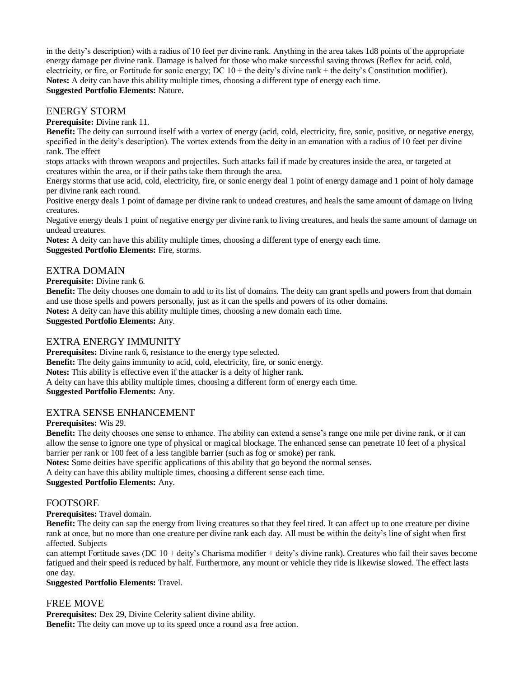in the deity's description) with a radius of 10 feet per divine rank. Anything in the area takes 1d8 points of the appropriate energy damage per divine rank. Damage is halved for those who make successful saving throws (Reflex for acid, cold, electricity, or fire, or Fortitude for sonic energy; DC 10 + the deity's divine rank + the deity's Constitution modifier). **Notes:** A deity can have this ability multiple times, choosing a different type of energy each time. **Suggested Portfolio Elements:** Nature.

#### ENERGY STORM

**Prerequisite:** Divine rank 11.

**Benefit:** The deity can surround itself with a vortex of energy (acid, cold, electricity, fire, sonic, positive, or negative energy, specified in the deity's description). The vortex extends from the deity in an emanation with a radius of 10 feet per divine rank. The effect

stops attacks with thrown weapons and projectiles. Such attacks fail if made by creatures inside the area, or targeted at creatures within the area, or if their paths take them through the area.

Energy storms that use acid, cold, electricity, fire, or sonic energy deal 1 point of energy damage and 1 point of holy damage per divine rank each round.

Positive energy deals 1 point of damage per divine rank to undead creatures, and heals the same amount of damage on living creatures.

Negative energy deals 1 point of negative energy per divine rank to living creatures, and heals the same amount of damage on undead creatures.

**Notes:** A deity can have this ability multiple times, choosing a different type of energy each time.

**Suggested Portfolio Elements:** Fire, storms.

#### EXTRA DOMAIN

#### **Prerequisite:** Divine rank 6.

**Benefit:** The deity chooses one domain to add to its list of domains. The deity can grant spells and powers from that domain and use those spells and powers personally, just as it can the spells and powers of its other domains.

**Notes:** A deity can have this ability multiple times, choosing a new domain each time.

**Suggested Portfolio Elements:** Any.

#### EXTRA ENERGY IMMUNITY

**Prerequisites:** Divine rank 6, resistance to the energy type selected.

**Benefit:** The deity gains immunity to acid, cold, electricity, fire, or sonic energy.

**Notes:** This ability is effective even if the attacker is a deity of higher rank.

A deity can have this ability multiple times, choosing a different form of energy each time.

**Suggested Portfolio Elements:** Any.

## EXTRA SENSE ENHANCEMENT

#### **Prerequisites:** Wis 29.

**Benefit:** The deity chooses one sense to enhance. The ability can extend a sense's range one mile per divine rank, or it can allow the sense to ignore one type of physical or magical blockage. The enhanced sense can penetrate 10 feet of a physical barrier per rank or 100 feet of a less tangible barrier (such as fog or smoke) per rank.

**Notes:** Some deities have specific applications of this ability that go beyond the normal senses.

A deity can have this ability multiple times, choosing a different sense each time.

**Suggested Portfolio Elements:** Any.

#### FOOTSORE

**Prerequisites:** Travel domain.

**Benefit:** The deity can sap the energy from living creatures so that they feel tired. It can affect up to one creature per divine rank at once, but no more than one creature per divine rank each day. All must be within the deity's line of sight when first affected. Subjects

can attempt Fortitude saves (DC 10 + deity's Charisma modifier + deity's divine rank). Creatures who fail their saves become fatigued and their speed is reduced by half. Furthermore, any mount or vehicle they ride is likewise slowed. The effect lasts one day.

#### **Suggested Portfolio Elements:** Travel.

## FREE MOVE

**Prerequisites:** Dex 29, Divine Celerity salient divine ability.

**Benefit:** The deity can move up to its speed once a round as a free action.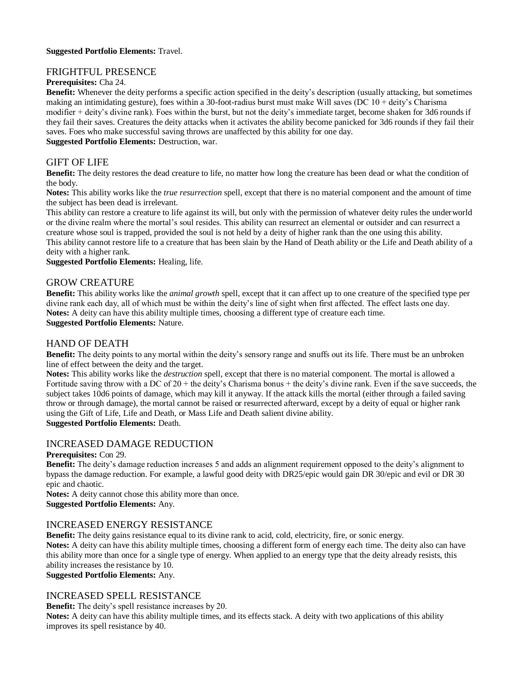#### **Suggested Portfolio Elements:** Travel.

#### FRIGHTFUL PRESENCE

#### **Prerequisites:** Cha 24.

**Benefit:** Whenever the deity performs a specific action specified in the deity's description (usually attacking, but sometimes making an intimidating gesture), foes within a 30-foot-radius burst must make Will saves (DC 10 + deity's Charisma modifier + deity's divine rank). Foes within the burst, but not the deity's immediate target, become shaken for 3d6 rounds if they fail their saves. Creatures the deity attacks when it activates the ability become panicked for 3d6 rounds if they fail their saves. Foes who make successful saving throws are unaffected by this ability for one day. **Suggested Portfolio Elements:** Destruction, war.

## GIFT OF LIFE

**Benefit:** The deity restores the dead creature to life, no matter how long the creature has been dead or what the condition of the body.

**Notes:** This ability works like the *true resurrection* spell, except that there is no material component and the amount of time the subject has been dead is irrelevant.

This ability can restore a creature to life against its will, but only with the permission of whatever deity rules the underworld or the divine realm where the mortal's soul resides. This ability can resurrect an elemental or outsider and can resurrect a creature whose soul is trapped, provided the soul is not held by a deity of higher rank than the one using this ability.

This ability cannot restore life to a creature that has been slain by the Hand of Death ability or the Life and Death ability of a deity with a higher rank.

**Suggested Portfolio Elements:** Healing, life.

#### GROW CREATURE

**Benefit:** This ability works like the *animal growth* spell, except that it can affect up to one creature of the specified type per divine rank each day, all of which must be within the deity's line of sight when first affected. The effect lasts one day. **Notes:** A deity can have this ability multiple times, choosing a different type of creature each time.

# **Suggested Portfolio Elements:** Nature.

#### HAND OF DEATH

**Benefit:** The deity points to any mortal within the deity's sensory range and snuffs out its life. There must be an unbroken line of effect between the deity and the target.

**Notes:** This ability works like the *destruction* spell, except that there is no material component. The mortal is allowed a Fortitude saving throw with a DC of  $20 +$  the deity's Charisma bonus + the deity's divine rank. Even if the save succeeds, the subject takes 10d6 points of damage, which may kill it anyway. If the attack kills the mortal (either through a failed saving throw or through damage), the mortal cannot be raised or resurrected afterward, except by a deity of equal or higher rank using the Gift of Life, Life and Death, or Mass Life and Death salient divine ability. **Suggested Portfolio Elements:** Death.

# INCREASED DAMAGE REDUCTION

# **Prerequisites:** Con 29.

**Benefit:** The deity's damage reduction increases 5 and adds an alignment requirement opposed to the deity's alignment to bypass the damage reduction. For example, a lawful good deity with DR25/epic would gain DR 30/epic and evil or DR 30 epic and chaotic.

**Notes:** A deity cannot chose this ability more than once. **Suggested Portfolio Elements:** Any.

## INCREASED ENERGY RESISTANCE

**Benefit:** The deity gains resistance equal to its divine rank to acid, cold, electricity, fire, or sonic energy.

**Notes:** A deity can have this ability multiple times, choosing a different form of energy each time. The deity also can have this ability more than once for a single type of energy. When applied to an energy type that the deity already resists, this ability increases the resistance by 10.

**Suggested Portfolio Elements:** Any.

## INCREASED SPELL RESISTANCE

**Benefit:** The deity's spell resistance increases by 20.

**Notes:** A deity can have this ability multiple times, and its effects stack. A deity with two applications of this ability improves its spell resistance by 40.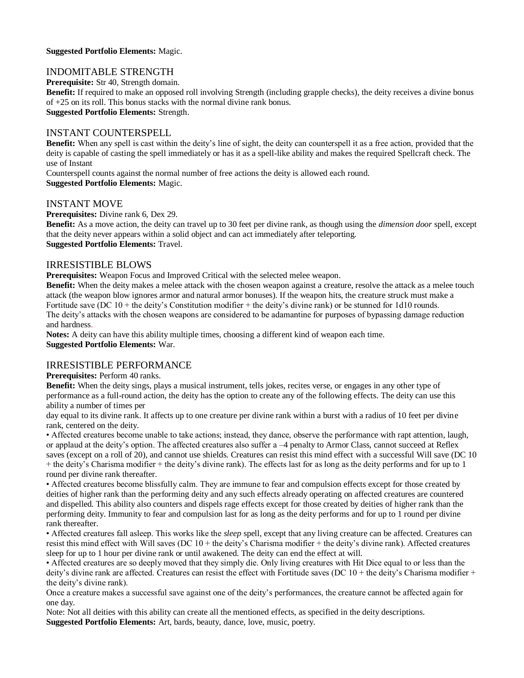#### **Suggested Portfolio Elements:** Magic.

## INDOMITABLE STRENGTH

**Prerequisite:** Str 40, Strength domain.

**Benefit:** If required to make an opposed roll involving Strength (including grapple checks), the deity receives a divine bonus of +25 on its roll. This bonus stacks with the normal divine rank bonus. **Suggested Portfolio Elements:** Strength.

# INSTANT COUNTERSPELL

**Benefit:** When any spell is cast within the deity's line of sight, the deity can counterspell it as a free action, provided that the deity is capable of casting the spell immediately or has it as a spell-like ability and makes the required Spellcraft check. The use of Instant

Counterspell counts against the normal number of free actions the deity is allowed each round. **Suggested Portfolio Elements:** Magic.

#### INSTANT MOVE

**Prerequisites:** Divine rank 6, Dex 29.

**Benefit:** As a move action, the deity can travel up to 30 feet per divine rank, as though using the *dimension door* spell, except that the deity never appears within a solid object and can act immediately after teleporting. **Suggested Portfolio Elements:** Travel.

#### IRRESISTIBLE BLOWS

**Prerequisites:** Weapon Focus and Improved Critical with the selected melee weapon.

**Benefit:** When the deity makes a melee attack with the chosen weapon against a creature, resolve the attack as a melee touch attack (the weapon blow ignores armor and natural armor bonuses). If the weapon hits, the creature struck must make a Fortitude save (DC 10 + the deity's Constitution modifier + the deity's divine rank) or be stunned for 1d10 rounds. The deity's attacks with the chosen weapons are considered to be adamantine for purposes of bypassing damage reduction and hardness.

**Notes:** A deity can have this ability multiple times, choosing a different kind of weapon each time. **Suggested Portfolio Elements:** War.

## IRRESISTIBLE PERFORMANCE

**Prerequisites:** Perform 40 ranks.

**Benefit:** When the deity sings, plays a musical instrument, tells jokes, recites verse, or engages in any other type of performance as a full-round action, the deity has the option to create any of the following effects. The deity can use this ability a number of times per

day equal to its divine rank. It affects up to one creature per divine rank within a burst with a radius of 10 feet per divine rank, centered on the deity.

• Affected creatures become unable to take actions; instead, they dance, observe the performance with rapt attention, laugh, or applaud at the deity's option. The affected creatures also suffer a –4 penalty to Armor Class, cannot succeed at Reflex saves (except on a roll of 20), and cannot use shields. Creatures can resist this mind effect with a successful Will save (DC 10 + the deity's Charisma modifier + the deity's divine rank). The effects last for as long as the deity performs and for up to 1 round per divine rank thereafter.

• Affected creatures become blissfully calm. They are immune to fear and compulsion effects except for those created by deities of higher rank than the performing deity and any such effects already operating on affected creatures are countered and dispelled. This ability also counters and dispels rage effects except for those created by deities of higher rank than the performing deity. Immunity to fear and compulsion last for as long as the deity performs and for up to 1 round per divine rank thereafter.

• Affected creatures fall asleep. This works like the *sleep* spell, except that any living creature can be affected. Creatures can resist this mind effect with Will saves (DC 10 + the deity's Charisma modifier + the deity's divine rank). Affected creatures sleep for up to 1 hour per divine rank or until awakened. The deity can end the effect at will.

• Affected creatures are so deeply moved that they simply die. Only living creatures with Hit Dice equal to or less than the deity's divine rank are affected. Creatures can resist the effect with Fortitude saves (DC  $10 +$  the deity's Charisma modifier + the deity's divine rank).

Once a creature makes a successful save against one of the deity's performances, the creature cannot be affected again for one day.

Note: Not all deities with this ability can create all the mentioned effects, as specified in the deity descriptions. **Suggested Portfolio Elements:** Art, bards, beauty, dance, love, music, poetry.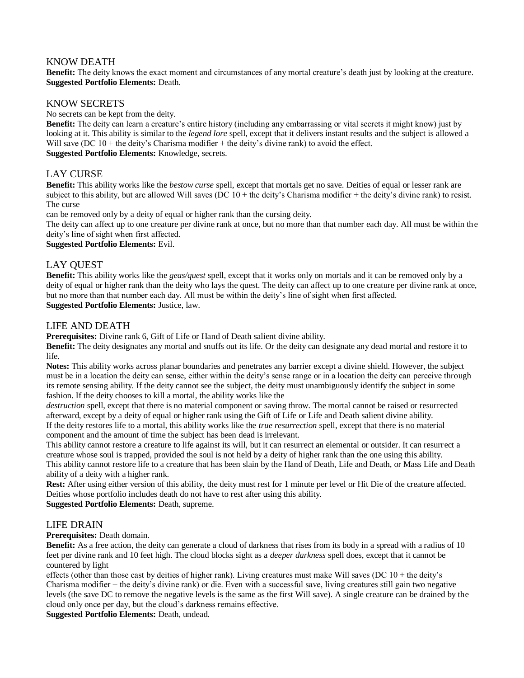## KNOW DEATH

**Benefit:** The deity knows the exact moment and circumstances of any mortal creature's death just by looking at the creature. **Suggested Portfolio Elements:** Death.

# KNOW SECRETS

No secrets can be kept from the deity.

**Benefit:** The deity can learn a creature's entire history (including any embarrassing or vital secrets it might know) just by looking at it. This ability is similar to the *legend lore* spell, except that it delivers instant results and the subject is allowed a Will save (DC  $10 +$  the deity's Charisma modifier  $+$  the deity's divine rank) to avoid the effect. **Suggested Portfolio Elements:** Knowledge, secrets.

# LAY CURSE

**Benefit:** This ability works like the *bestow curse* spell, except that mortals get no save. Deities of equal or lesser rank are subject to this ability, but are allowed Will saves (DC  $10 +$  the deity's Charisma modifier  $+$  the deity's divine rank) to resist. The curse

can be removed only by a deity of equal or higher rank than the cursing deity.

The deity can affect up to one creature per divine rank at once, but no more than that number each day. All must be within the deity's line of sight when first affected.

**Suggested Portfolio Elements:** Evil.

# LAY QUEST

**Benefit:** This ability works like the *geas/quest* spell, except that it works only on mortals and it can be removed only by a deity of equal or higher rank than the deity who lays the quest. The deity can affect up to one creature per divine rank at once, but no more than that number each day. All must be within the deity's line of sight when first affected. **Suggested Portfolio Elements:** Justice, law.

## LIFE AND DEATH

**Prerequisites:** Divine rank 6, Gift of Life or Hand of Death salient divine ability.

**Benefit:** The deity designates any mortal and snuffs out its life. Or the deity can designate any dead mortal and restore it to life.

**Notes:** This ability works across planar boundaries and penetrates any barrier except a divine shield. However, the subject must be in a location the deity can sense, either within the deity's sense range or in a location the deity can perceive through its remote sensing ability. If the deity cannot see the subject, the deity must unambiguously identify the subject in some fashion. If the deity chooses to kill a mortal, the ability works like the

*destruction* spell, except that there is no material component or saving throw. The mortal cannot be raised or resurrected afterward, except by a deity of equal or higher rank using the Gift of Life or Life and Death salient divine ability. If the deity restores life to a mortal, this ability works like the *true resurrection* spell, except that there is no material

component and the amount of time the subject has been dead is irrelevant.

This ability cannot restore a creature to life against its will, but it can resurrect an elemental or outsider. It can resurrect a creature whose soul is trapped, provided the soul is not held by a deity of higher rank than the one using this ability. This ability cannot restore life to a creature that has been slain by the Hand of Death, Life and Death, or Mass Life and Death ability of a deity with a higher rank.

**Rest:** After using either version of this ability, the deity must rest for 1 minute per level or Hit Die of the creature affected. Deities whose portfolio includes death do not have to rest after using this ability.

**Suggested Portfolio Elements:** Death, supreme.

## LIFE DRAIN

**Prerequisites:** Death domain.

**Benefit:** As a free action, the deity can generate a cloud of darkness that rises from its body in a spread with a radius of 10 feet per divine rank and 10 feet high. The cloud blocks sight as a *deeper darkness* spell does, except that it cannot be countered by light

effects (other than those cast by deities of higher rank). Living creatures must make Will saves (DC 10 + the deity's Charisma modifier + the deity's divine rank) or die. Even with a successful save, living creatures still gain two negative levels (the save DC to remove the negative levels is the same as the first Will save). A single creature can be drained by the cloud only once per day, but the cloud's darkness remains effective.

**Suggested Portfolio Elements:** Death, undead.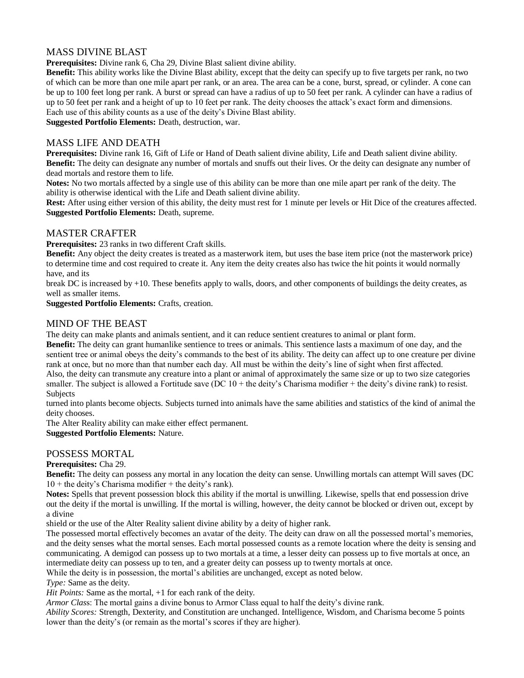# MASS DIVINE BLAST

**Prerequisites:** Divine rank 6, Cha 29, Divine Blast salient divine ability.

**Benefit:** This ability works like the Divine Blast ability, except that the deity can specify up to five targets per rank, no two of which can be more than one mile apart per rank, or an area. The area can be a cone, burst, spread, or cylinder. A cone can be up to 100 feet long per rank. A burst or spread can have a radius of up to 50 feet per rank. A cylinder can have a radius of up to 50 feet per rank and a height of up to 10 feet per rank. The deity chooses the attack's exact form and dimensions. Each use of this ability counts as a use of the deity's Divine Blast ability.

**Suggested Portfolio Elements:** Death, destruction, war.

#### MASS LIFE AND DEATH

**Prerequisites:** Divine rank 16, Gift of Life or Hand of Death salient divine ability, Life and Death salient divine ability. **Benefit:** The deity can designate any number of mortals and snuffs out their lives. Or the deity can designate any number of dead mortals and restore them to life.

**Notes:** No two mortals affected by a single use of this ability can be more than one mile apart per rank of the deity. The ability is otherwise identical with the Life and Death salient divine ability.

**Rest:** After using either version of this ability, the deity must rest for 1 minute per levels or Hit Dice of the creatures affected. **Suggested Portfolio Elements:** Death, supreme.

#### MASTER CRAFTER

**Prerequisites:** 23 ranks in two different Craft skills.

**Benefit:** Any object the deity creates is treated as a masterwork item, but uses the base item price (not the masterwork price) to determine time and cost required to create it. Any item the deity creates also has twice the hit points it would normally have, and its

break DC is increased by  $+10$ . These benefits apply to walls, doors, and other components of buildings the deity creates, as well as smaller items.

**Suggested Portfolio Elements:** Crafts, creation.

#### MIND OF THE BEAST

The deity can make plants and animals sentient, and it can reduce sentient creatures to animal or plant form.

**Benefit:** The deity can grant humanlike sentience to trees or animals. This sentience lasts a maximum of one day, and the sentient tree or animal obeys the deity's commands to the best of its ability. The deity can affect up to one creature per divine rank at once, but no more than that number each day. All must be within the deity's line of sight when first affected. Also, the deity can transmute any creature into a plant or animal of approximately the same size or up to two size categories smaller. The subject is allowed a Fortitude save (DC  $10 +$  the deity's Charisma modifier  $+$  the deity's divine rank) to resist. **Subjects** 

turned into plants become objects. Subjects turned into animals have the same abilities and statistics of the kind of animal the deity chooses.

The Alter Reality ability can make either effect permanent.

**Suggested Portfolio Elements:** Nature.

## POSSESS MORTAL

#### **Prerequisites:** Cha 29.

**Benefit:** The deity can possess any mortal in any location the deity can sense. Unwilling mortals can attempt Will saves (DC  $10 +$  the deity's Charisma modifier  $+$  the deity's rank).

**Notes:** Spells that prevent possession block this ability if the mortal is unwilling. Likewise, spells that end possession drive out the deity if the mortal is unwilling. If the mortal is willing, however, the deity cannot be blocked or driven out, except by a divine

shield or the use of the Alter Reality salient divine ability by a deity of higher rank.

The possessed mortal effectively becomes an avatar of the deity. The deity can draw on all the possessed mortal's memories, and the deity senses what the mortal senses. Each mortal possessed counts as a remote location where the deity is sensing and communicating. A demigod can possess up to two mortals at a time, a lesser deity can possess up to five mortals at once, an intermediate deity can possess up to ten, and a greater deity can possess up to twenty mortals at once.

While the deity is in possession, the mortal's abilities are unchanged, except as noted below.

*Type:* Same as the deity.

*Hit Points:* Same as the mortal,  $+1$  for each rank of the deity.

*Armor Clas*s: The mortal gains a divine bonus to Armor Class equal to half the deity's divine rank.

*Ability Scores:* Strength, Dexterity, and Constitution are unchanged. Intelligence, Wisdom, and Charisma become 5 points lower than the deity's (or remain as the mortal's scores if they are higher).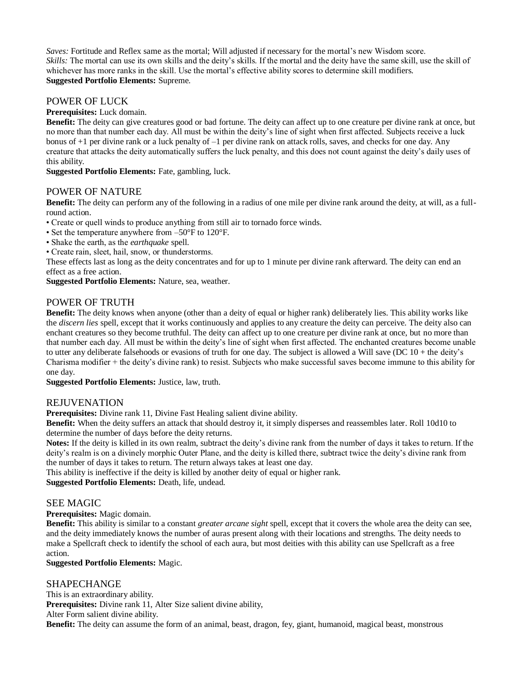*Saves:* Fortitude and Reflex same as the mortal; Will adjusted if necessary for the mortal's new Wisdom score. *Skills:* The mortal can use its own skills and the deity's skills. If the mortal and the deity have the same skill, use the skill of whichever has more ranks in the skill. Use the mortal's effective ability scores to determine skill modifiers. **Suggested Portfolio Elements:** Supreme.

# POWER OF LUCK

#### **Prerequisites:** Luck domain.

**Benefit:** The deity can give creatures good or bad fortune. The deity can affect up to one creature per divine rank at once, but no more than that number each day. All must be within the deity's line of sight when first affected. Subjects receive a luck bonus of +1 per divine rank or a luck penalty of –1 per divine rank on attack rolls, saves, and checks for one day. Any creature that attacks the deity automatically suffers the luck penalty, and this does not count against the deity's daily uses of this ability.

**Suggested Portfolio Elements:** Fate, gambling, luck.

## POWER OF NATURE

**Benefit:** The deity can perform any of the following in a radius of one mile per divine rank around the deity, at will, as a fullround action.

• Create or quell winds to produce anything from still air to tornado force winds.

- Set the temperature anywhere from –50°F to 120°F.
- Shake the earth, as the *earthquake* spell.
- Create rain, sleet, hail, snow, or thunderstorms.

These effects last as long as the deity concentrates and for up to 1 minute per divine rank afterward. The deity can end an effect as a free action.

**Suggested Portfolio Elements:** Nature, sea, weather.

## POWER OF TRUTH

**Benefit:** The deity knows when anyone (other than a deity of equal or higher rank) deliberately lies. This ability works like the *discern lies* spell, except that it works continuously and applies to any creature the deity can perceive. The deity also can enchant creatures so they become truthful. The deity can affect up to one creature per divine rank at once, but no more than that number each day. All must be within the deity's line of sight when first affected. The enchanted creatures become unable to utter any deliberate falsehoods or evasions of truth for one day. The subject is allowed a Will save (DC 10 + the deity's Charisma modifier + the deity's divine rank) to resist. Subjects who make successful saves become immune to this ability for one day.

**Suggested Portfolio Elements:** Justice, law, truth.

#### REJUVENATION

**Prerequisites:** Divine rank 11, Divine Fast Healing salient divine ability.

**Benefit:** When the deity suffers an attack that should destroy it, it simply disperses and reassembles later. Roll 10d10 to determine the number of days before the deity returns.

**Notes:** If the deity is killed in its own realm, subtract the deity's divine rank from the number of days it takes to return. If the deity's realm is on a divinely morphic Outer Plane, and the deity is killed there, subtract twice the deity's divine rank from the number of days it takes to return. The return always takes at least one day.

This ability is ineffective if the deity is killed by another deity of equal or higher rank.

**Suggested Portfolio Elements:** Death, life, undead.

#### SEE MAGIC

**Prerequisites:** Magic domain.

**Benefit:** This ability is similar to a constant *greater arcane sight* spell, except that it covers the whole area the deity can see, and the deity immediately knows the number of auras present along with their locations and strengths. The deity needs to make a Spellcraft check to identify the school of each aura, but most deities with this ability can use Spellcraft as a free action.

#### **Suggested Portfolio Elements:** Magic.

## SHAPECHANGE

This is an extraordinary ability. **Prerequisites:** Divine rank 11, Alter Size salient divine ability, Alter Form salient divine ability. **Benefit:** The deity can assume the form of an animal, beast, dragon, fey, giant, humanoid, magical beast, monstrous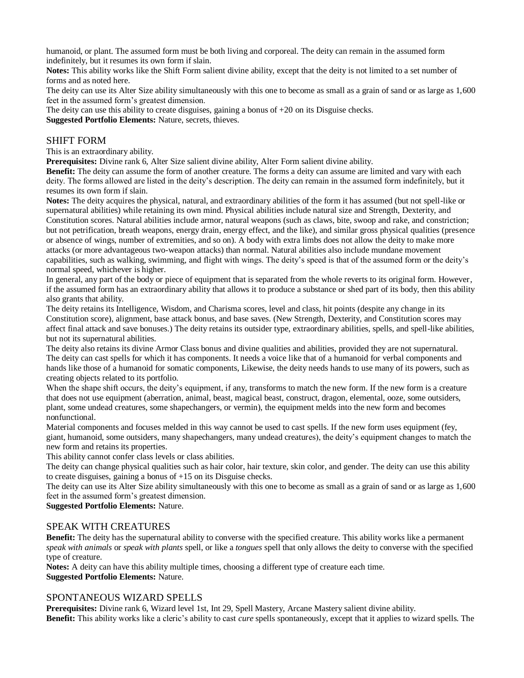humanoid, or plant. The assumed form must be both living and corporeal. The deity can remain in the assumed form indefinitely, but it resumes its own form if slain.

**Notes:** This ability works like the Shift Form salient divine ability, except that the deity is not limited to a set number of forms and as noted here.

The deity can use its Alter Size ability simultaneously with this one to become as small as a grain of sand or as large as 1,600 feet in the assumed form's greatest dimension.

The deity can use this ability to create disguises, gaining a bonus of +20 on its Disguise checks.

**Suggested Portfolio Elements:** Nature, secrets, thieves.

#### SHIFT FORM

This is an extraordinary ability.

**Prerequisites:** Divine rank 6, Alter Size salient divine ability, Alter Form salient divine ability.

**Benefit:** The deity can assume the form of another creature. The forms a deity can assume are limited and vary with each deity. The forms allowed are listed in the deity's description. The deity can remain in the assumed form indefinitely, but it resumes its own form if slain.

**Notes:** The deity acquires the physical, natural, and extraordinary abilities of the form it has assumed (but not spell-like or supernatural abilities) while retaining its own mind. Physical abilities include natural size and Strength, Dexterity, and Constitution scores. Natural abilities include armor, natural weapons (such as claws, bite, swoop and rake, and constriction; but not petrification, breath weapons, energy drain, energy effect, and the like), and similar gross physical qualities (presence or absence of wings, number of extremities, and so on). A body with extra limbs does not allow the deity to make more attacks (or more advantageous two-weapon attacks) than normal. Natural abilities also include mundane movement capabilities, such as walking, swimming, and flight with wings. The deity's speed is that of the assumed form or the deity's normal speed, whichever is higher.

In general, any part of the body or piece of equipment that is separated from the whole reverts to its original form. However, if the assumed form has an extraordinary ability that allows it to produce a substance or shed part of its body, then this ability also grants that ability.

The deity retains its Intelligence, Wisdom, and Charisma scores, level and class, hit points (despite any change in its Constitution score), alignment, base attack bonus, and base saves. (New Strength, Dexterity, and Constitution scores may affect final attack and save bonuses.) The deity retains its outsider type, extraordinary abilities, spells, and spell-like abilities, but not its supernatural abilities.

The deity also retains its divine Armor Class bonus and divine qualities and abilities, provided they are not supernatural. The deity can cast spells for which it has components. It needs a voice like that of a humanoid for verbal components and hands like those of a humanoid for somatic components, Likewise, the deity needs hands to use many of its powers, such as creating objects related to its portfolio.

When the shape shift occurs, the deity's equipment, if any, transforms to match the new form. If the new form is a creature that does not use equipment (aberration, animal, beast, magical beast, construct, dragon, elemental, ooze, some outsiders, plant, some undead creatures, some shapechangers, or vermin), the equipment melds into the new form and becomes nonfunctional.

Material components and focuses melded in this way cannot be used to cast spells. If the new form uses equipment (fey, giant, humanoid, some outsiders, many shapechangers, many undead creatures), the deity's equipment changes to match the new form and retains its properties.

This ability cannot confer class levels or class abilities.

The deity can change physical qualities such as hair color, hair texture, skin color, and gender. The deity can use this ability to create disguises, gaining a bonus of +15 on its Disguise checks.

The deity can use its Alter Size ability simultaneously with this one to become as small as a grain of sand or as large as 1,600 feet in the assumed form's greatest dimension.

#### **Suggested Portfolio Elements:** Nature.

## SPEAK WITH CREATURES

**Benefit:** The deity has the supernatural ability to converse with the specified creature. This ability works like a permanent *speak with animals* or *speak with plants* spell, or like a *tongues* spell that only allows the deity to converse with the specified type of creature.

**Notes:** A deity can have this ability multiple times, choosing a different type of creature each time. **Suggested Portfolio Elements:** Nature.

#### SPONTANEOUS WIZARD SPELLS

**Prerequisites:** Divine rank 6, Wizard level 1st, Int 29, Spell Mastery, Arcane Mastery salient divine ability. **Benefit:** This ability works like a cleric's ability to cast *cure* spells spontaneously, except that it applies to wizard spells. The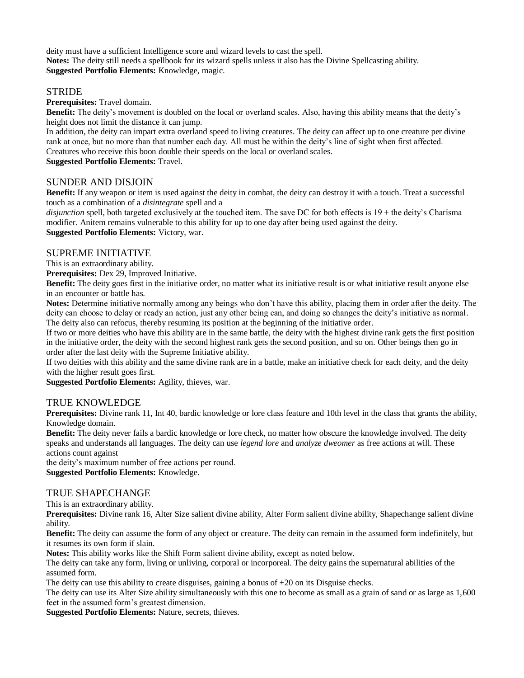deity must have a sufficient Intelligence score and wizard levels to cast the spell. **Notes:** The deity still needs a spellbook for its wizard spells unless it also has the Divine Spellcasting ability. **Suggested Portfolio Elements:** Knowledge, magic.

## **STRIDE**

**Prerequisites:** Travel domain.

**Benefit:** The deity's movement is doubled on the local or overland scales. Also, having this ability means that the deity's height does not limit the distance it can jump.

In addition, the deity can impart extra overland speed to living creatures. The deity can affect up to one creature per divine rank at once, but no more than that number each day. All must be within the deity's line of sight when first affected. Creatures who receive this boon double their speeds on the local or overland scales.

**Suggested Portfolio Elements:** Travel.

## SUNDER AND DISJOIN

**Benefit:** If any weapon or item is used against the deity in combat, the deity can destroy it with a touch. Treat a successful touch as a combination of a *disintegrate* spell and a

*disjunction* spell, both targeted exclusively at the touched item. The save DC for both effects is 19 + the deity's Charisma modifier. Anitem remains vulnerable to this ability for up to one day after being used against the deity. **Suggested Portfolio Elements:** Victory, war.

## SUPREME INITIATIVE

This is an extraordinary ability.

**Prerequisites:** Dex 29, Improved Initiative.

**Benefit:** The deity goes first in the initiative order, no matter what its initiative result is or what initiative result anyone else in an encounter or battle has.

**Notes:** Determine initiative normally among any beings who don't have this ability, placing them in order after the deity. The deity can choose to delay or ready an action, just any other being can, and doing so changes the deity's initiative as normal. The deity also can refocus, thereby resuming its position at the beginning of the initiative order.

If two or more deities who have this ability are in the same battle, the deity with the highest divine rank gets the first position in the initiative order, the deity with the second highest rank gets the second position, and so on. Other beings then go in order after the last deity with the Supreme Initiative ability.

If two deities with this ability and the same divine rank are in a battle, make an initiative check for each deity, and the deity with the higher result goes first.

**Suggested Portfolio Elements:** Agility, thieves, war.

## TRUE KNOWLEDGE

**Prerequisites:** Divine rank 11, Int 40, bardic knowledge or lore class feature and 10th level in the class that grants the ability, Knowledge domain.

**Benefit:** The deity never fails a bardic knowledge or lore check, no matter how obscure the knowledge involved. The deity speaks and understands all languages. The deity can use *legend lore* and *analyze dweomer* as free actions at will. These actions count against

the deity's maximum number of free actions per round.

**Suggested Portfolio Elements:** Knowledge.

## TRUE SHAPECHANGE

This is an extraordinary ability.

**Prerequisites:** Divine rank 16, Alter Size salient divine ability, Alter Form salient divine ability, Shapechange salient divine ability.

**Benefit:** The deity can assume the form of any object or creature. The deity can remain in the assumed form indefinitely, but it resumes its own form if slain.

**Notes:** This ability works like the Shift Form salient divine ability, except as noted below.

The deity can take any form, living or unliving, corporal or incorporeal. The deity gains the supernatural abilities of the assumed form.

The deity can use this ability to create disguises, gaining a bonus of  $+20$  on its Disguise checks.

The deity can use its Alter Size ability simultaneously with this one to become as small as a grain of sand or as large as 1,600 feet in the assumed form's greatest dimension.

**Suggested Portfolio Elements:** Nature, secrets, thieves.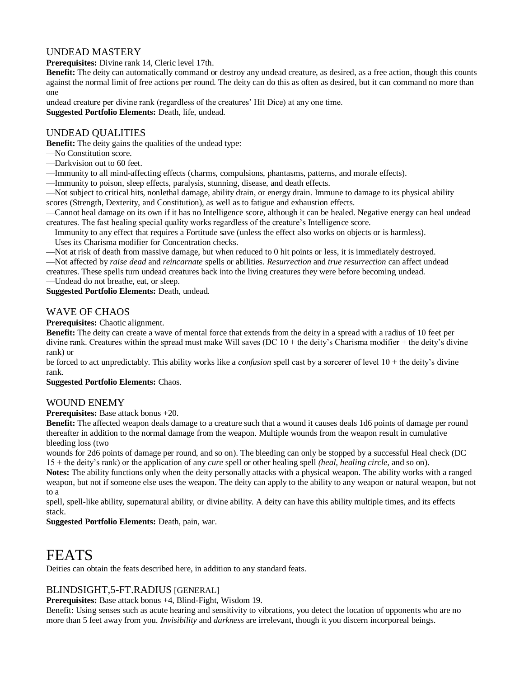# UNDEAD MASTERY

**Prerequisites:** Divine rank 14, Cleric level 17th.

**Benefit:** The deity can automatically command or destroy any undead creature, as desired, as a free action, though this counts against the normal limit of free actions per round. The deity can do this as often as desired, but it can command no more than one

undead creature per divine rank (regardless of the creatures' Hit Dice) at any one time. **Suggested Portfolio Elements:** Death, life, undead.

# UNDEAD QUALITIES

**Benefit:** The deity gains the qualities of the undead type:

- —No Constitution score.
- —Darkvision out to 60 feet.

—Immunity to all mind-affecting effects (charms, compulsions, phantasms, patterns, and morale effects).

—Immunity to poison, sleep effects, paralysis, stunning, disease, and death effects.

—Not subject to critical hits, nonlethal damage, ability drain, or energy drain. Immune to damage to its physical ability scores (Strength, Dexterity, and Constitution), as well as to fatigue and exhaustion effects.

—Cannot heal damage on its own if it has no Intelligence score, although it can be healed. Negative energy can heal undead creatures. The fast healing special quality works regardless of the creature's Intelligence score.

—Immunity to any effect that requires a Fortitude save (unless the effect also works on objects or is harmless).

—Uses its Charisma modifier for Concentration checks.

—Not at risk of death from massive damage, but when reduced to 0 hit points or less, it is immediately destroyed.

—Not affected by *raise dead* and *reincarnate* spells or abilities. *Resurrection* and *true resurrection* can affect undead creatures. These spells turn undead creatures back into the living creatures they were before becoming undead.

—Undead do not breathe, eat, or sleep.

**Suggested Portfolio Elements:** Death, undead.

# WAVE OF CHAOS

**Prerequisites:** Chaotic alignment.

**Benefit:** The deity can create a wave of mental force that extends from the deity in a spread with a radius of 10 feet per divine rank. Creatures within the spread must make Will saves (DC  $10 +$  the deity's Charisma modifier  $+$  the deity's divine rank) or

be forced to act unpredictably. This ability works like a *confusion* spell cast by a sorcerer of level 10 + the deity's divine rank.

**Suggested Portfolio Elements:** Chaos.

## WOUND ENEMY

**Prerequisites:** Base attack bonus +20.

**Benefit:** The affected weapon deals damage to a creature such that a wound it causes deals 1d6 points of damage per round thereafter in addition to the normal damage from the weapon. Multiple wounds from the weapon result in cumulative bleeding loss (two

wounds for 2d6 points of damage per round, and so on). The bleeding can only be stopped by a successful Heal check (DC 15 + the deity's rank) or the application of any *cure* spell or other healing spell *(heal, healing circle,* and so on).

**Notes:** The ability functions only when the deity personally attacks with a physical weapon. The ability works with a ranged weapon, but not if someone else uses the weapon. The deity can apply to the ability to any weapon or natural weapon, but not to a

spell, spell-like ability, supernatural ability, or divine ability. A deity can have this ability multiple times, and its effects stack.

**Suggested Portfolio Elements:** Death, pain, war.

# FEATS

Deities can obtain the feats described here, in addition to any standard feats.

# BLINDSIGHT,5-FT.RADIUS [GENERAL]

**Prerequisites:** Base attack bonus +4, Blind-Fight, Wisdom 19.

Benefit: Using senses such as acute hearing and sensitivity to vibrations, you detect the location of opponents who are no more than 5 feet away from you. *Invisibility* and *darkness* are irrelevant, though it you discern incorporeal beings.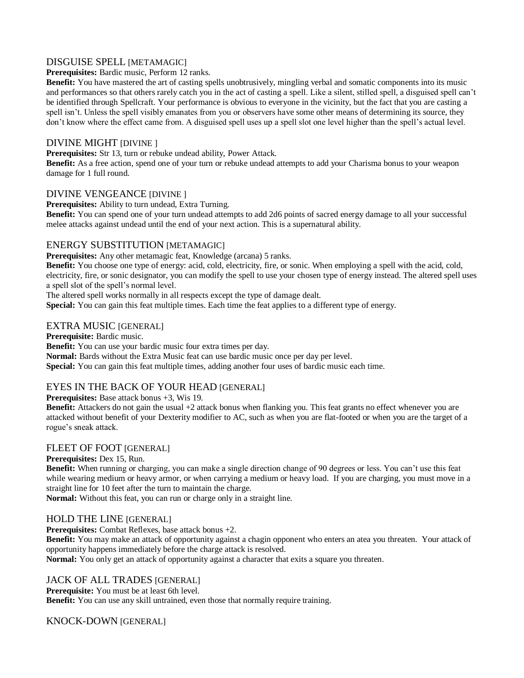# DISGUISE SPELL [METAMAGIC]

**Prerequisites:** Bardic music, Perform 12 ranks.

**Benefit:** You have mastered the art of casting spells unobtrusively, mingling verbal and somatic components into its music and performances so that others rarely catch you in the act of casting a spell. Like a silent, stilled spell, a disguised spell can't be identified through Spellcraft. Your performance is obvious to everyone in the vicinity, but the fact that you are casting a spell isn't. Unless the spell visibly emanates from you or observers have some other means of determining its source, they don't know where the effect came from. A disguised spell uses up a spell slot one level higher than the spell's actual level.

## DIVINE MIGHT [DIVINE ]

**Prerequisites:** Str 13, turn or rebuke undead ability, Power Attack.

**Benefit:** As a free action, spend one of your turn or rebuke undead attempts to add your Charisma bonus to your weapon damage for 1 full round.

# DIVINE VENGEANCE [DIVINE ]

**Prerequisites:** Ability to turn undead, Extra Turning.

**Benefit:** You can spend one of your turn undead attempts to add 2d6 points of sacred energy damage to all your successful melee attacks against undead until the end of your next action. This is a supernatural ability.

# ENERGY SUBSTITUTION [METAMAGIC]

**Prerequisites:** Any other metamagic feat, Knowledge (arcana) 5 ranks.

**Benefit:** You choose one type of energy: acid, cold, electricity, fire, or sonic. When employing a spell with the acid, cold, electricity, fire, or sonic designator, you can modify the spell to use your chosen type of energy instead. The altered spell uses a spell slot of the spell's normal level.

The altered spell works normally in all respects except the type of damage dealt.

**Special:** You can gain this feat multiple times. Each time the feat applies to a different type of energy.

## EXTRA MUSIC [GENERAL]

**Prerequisite:** Bardic music.

**Benefit:** You can use your bardic music four extra times per day.

**Normal:** Bards without the Extra Music feat can use bardic music once per day per level.

**Special:** You can gain this feat multiple times, adding another four uses of bardic music each time.

# EYES IN THE BACK OF YOUR HEAD [GENERAL]

**Prerequisites:** Base attack bonus +3, Wis 19.

**Benefit:** Attackers do not gain the usual +2 attack bonus when flanking you. This feat grants no effect whenever you are attacked without benefit of your Dexterity modifier to AC, such as when you are flat-footed or when you are the target of a rogue's sneak attack.

# FLEET OF FOOT [GENERAL]

**Prerequisites:** Dex 15, Run.

**Benefit:** When running or charging, you can make a single direction change of 90 degrees or less. You can't use this feat while wearing medium or heavy armor, or when carrying a medium or heavy load. If you are charging, you must move in a straight line for 10 feet after the turn to maintain the charge.

**Normal:** Without this feat, you can run or charge only in a straight line.

## HOLD THE LINE [GENERAL]

**Prerequisites:** Combat Reflexes, base attack bonus +2.

**Benefit:** You may make an attack of opportunity against a chagin opponent who enters an atea you threaten. Your attack of opportunity happens immediately before the charge attack is resolved.

**Normal:** You only get an attack of opportunity against a character that exits a square you threaten.

# JACK OF ALL TRADES [GENERAL]

**Prerequisite:** You must be at least 6th level. **Benefit:** You can use any skill untrained, even those that normally require training.

# KNOCK-DOWN [GENERAL]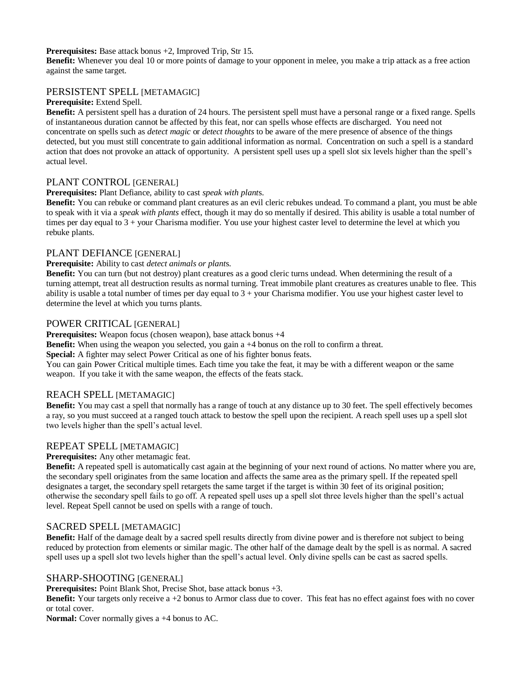#### **Prerequisites:** Base attack bonus +2, Improved Trip, Str 15.

**Benefit:** Whenever you deal 10 or more points of damage to your opponent in melee, you make a trip attack as a free action against the same target.

#### PERSISTENT SPELL [METAMAGIC]

#### **Prerequisite:** Extend Spell.

**Benefit:** A persistent spell has a duration of 24 hours. The persistent spell must have a personal range or a fixed range. Spells of instantaneous duration cannot be affected by this feat, nor can spells whose effects are discharged. You need not concentrate on spells such as *detect magic* or *detect thoughts* to be aware of the mere presence of absence of the things detected, but you must still concentrate to gain additional information as normal. Concentration on such a spell is a standard action that does not provoke an attack of opportunity. A persistent spell uses up a spell slot six levels higher than the spell's actual level.

#### PLANT CONTROL [GENERAL]

#### **Prerequisites:** Plant Defiance, ability to cast *speak with plant*s.

**Benefit:** You can rebuke or command plant creatures as an evil cleric rebukes undead. To command a plant, you must be able to speak with it via a *speak with plants* effect, though it may do so mentally if desired. This ability is usable a total number of times per day equal to  $3 +$  your Charisma modifier. You use your highest caster level to determine the level at which you rebuke plants.

## PLANT DEFIANCE [GENERAL]

#### **Prerequisite:** Ability to cast *detect animals or plant*s.

**Benefit:** You can turn (but not destroy) plant creatures as a good cleric turns undead. When determining the result of a turning attempt, treat all destruction results as normal turning. Treat immobile plant creatures as creatures unable to flee. This ability is usable a total number of times per day equal to  $3 +$  your Charisma modifier. You use your highest caster level to determine the level at which you turns plants.

#### POWER CRITICAL [GENERAL]

**Prerequisites:** Weapon focus (chosen weapon), base attack bonus  $+4$ 

**Benefit:** When using the weapon you selected, you gain a +4 bonus on the roll to confirm a threat.

**Special:** A fighter may select Power Critical as one of his fighter bonus feats.

You can gain Power Critical multiple times. Each time you take the feat, it may be with a different weapon or the same weapon. If you take it with the same weapon, the effects of the feats stack.

#### REACH SPELL [METAMAGIC]

**Benefit:** You may cast a spell that normally has a range of touch at any distance up to 30 feet. The spell effectively becomes a ray, so you must succeed at a ranged touch attack to bestow the spell upon the recipient. A reach spell uses up a spell slot two levels higher than the spell's actual level.

## REPEAT SPELL [METAMAGIC]

**Prerequisites:** Any other metamagic feat.

**Benefit:** A repeated spell is automatically cast again at the beginning of your next round of actions. No matter where you are, the secondary spell originates from the same location and affects the same area as the primary spell. If the repeated spell designates a target, the secondary spell retargets the same target if the target is within 30 feet of its original position; otherwise the secondary spell fails to go off. A repeated spell uses up a spell slot three levels higher than the spell's actual level. Repeat Spell cannot be used on spells with a range of touch.

#### SACRED SPELL [METAMAGIC]

**Benefit:** Half of the damage dealt by a sacred spell results directly from divine power and is therefore not subject to being reduced by protection from elements or similar magic. The other half of the damage dealt by the spell is as normal. A sacred spell uses up a spell slot two levels higher than the spell's actual level. Only divine spells can be cast as sacred spells.

#### SHARP-SHOOTING [GENERAL]

**Prerequisites:** Point Blank Shot, Precise Shot, base attack bonus +3.

**Benefit:** Your targets only receive a +2 bonus to Armor class due to cover. This feat has no effect against foes with no cover or total cover.

**Normal:** Cover normally gives a  $+4$  bonus to AC.